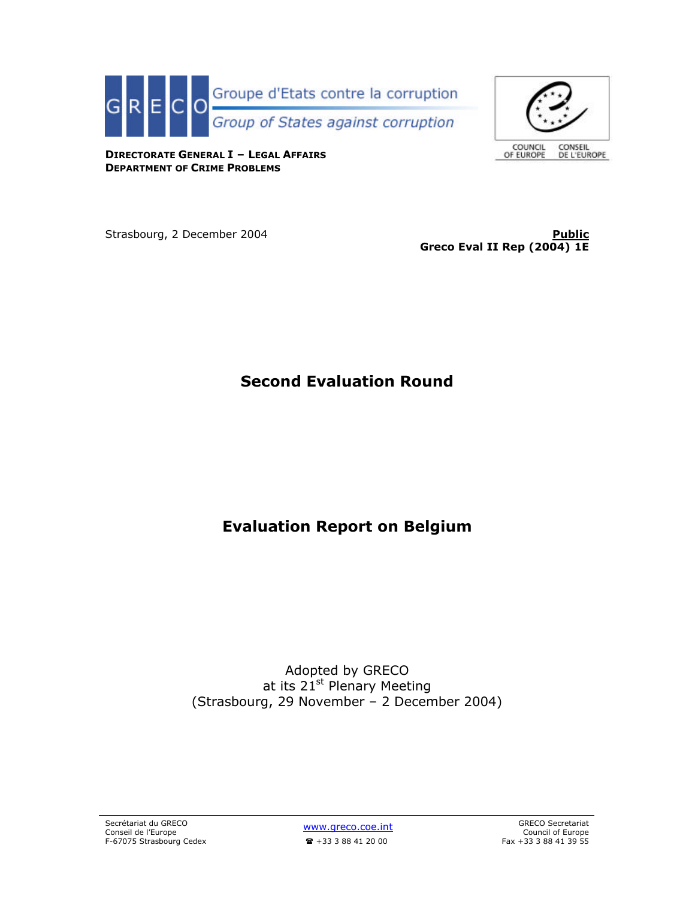

COUNCIL<br>OF EUROPE CONSEIL DE L'EUROPE

**DIRECTORATE GENERAL I – LEGAL AFFAIRS DEPARTMENT OF CRIME PROBLEMS**

Strasbourg, 2 December 2004 **Public Public Public** 

**Greco Eval II Rep (2004) 1E**

# **Second Evaluation Round**

# **Evaluation Report on Belgium**

Adopted by GRECO at its 21<sup>st</sup> Plenary Meeting (Strasbourg, 29 November – 2 December 2004)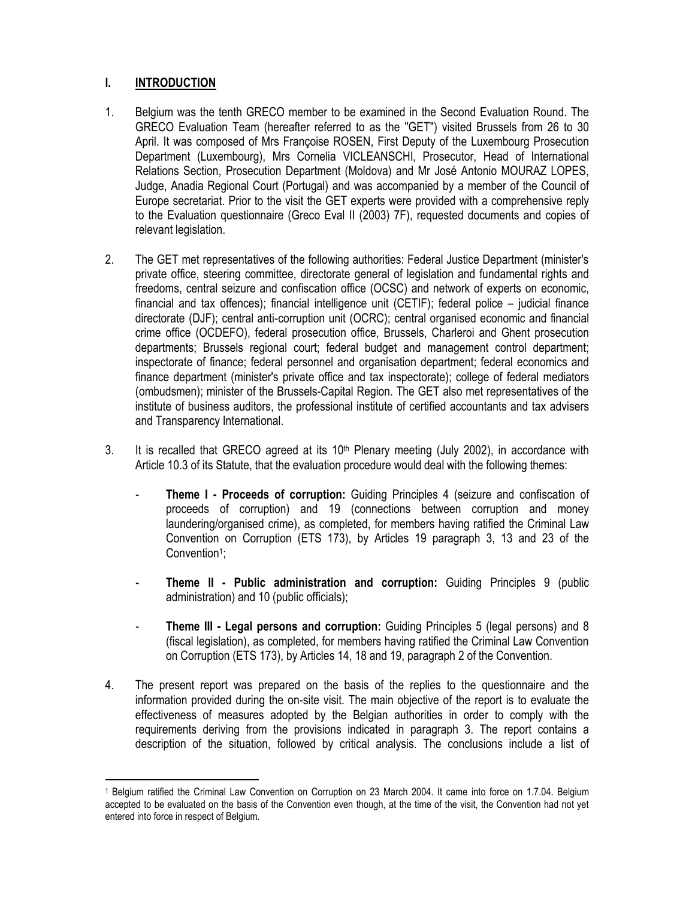# **I. INTRODUCTION**

 $\overline{\phantom{a}}$ 

- 1. Belgium was the tenth GRECO member to be examined in the Second Evaluation Round. The GRECO Evaluation Team (hereafter referred to as the "GET") visited Brussels from 26 to 30 April. It was composed of Mrs Françoise ROSEN, First Deputy of the Luxembourg Prosecution Department (Luxembourg), Mrs Cornelia VICLEANSCHI, Prosecutor, Head of International Relations Section, Prosecution Department (Moldova) and Mr José Antonio MOURAZ LOPES, Judge, Anadia Regional Court (Portugal) and was accompanied by a member of the Council of Europe secretariat. Prior to the visit the GET experts were provided with a comprehensive reply to the Evaluation questionnaire (Greco Eval II (2003) 7F), requested documents and copies of relevant legislation.
- 2. The GET met representatives of the following authorities: Federal Justice Department (minister's private office, steering committee, directorate general of legislation and fundamental rights and freedoms, central seizure and confiscation office (OCSC) and network of experts on economic, financial and tax offences); financial intelligence unit (CETIF); federal police – judicial finance directorate (DJF); central anti-corruption unit (OCRC); central organised economic and financial crime office (OCDEFO), federal prosecution office, Brussels, Charleroi and Ghent prosecution departments; Brussels regional court; federal budget and management control department; inspectorate of finance; federal personnel and organisation department; federal economics and finance department (minister's private office and tax inspectorate); college of federal mediators (ombudsmen); minister of the Brussels-Capital Region. The GET also met representatives of the institute of business auditors, the professional institute of certified accountants and tax advisers and Transparency International.
- 3. It is recalled that GRECO agreed at its  $10<sup>th</sup>$  Plenary meeting (July 2002), in accordance with Article 10.3 of its Statute, that the evaluation procedure would deal with the following themes:
	- **Theme I Proceeds of corruption:** Guiding Principles 4 (seizure and confiscation of proceeds of corruption) and 19 (connections between corruption and money laundering/organised crime), as completed, for members having ratified the Criminal Law Convention on Corruption (ETS 173), by Articles 19 paragraph 3, 13 and 23 of the Convention<sup>1</sup>;
	- **Theme II Public administration and corruption:** Guiding Principles 9 (public administration) and 10 (public officials);
	- **Theme III Legal persons and corruption:** Guiding Principles 5 (legal persons) and 8 (fiscal legislation), as completed, for members having ratified the Criminal Law Convention on Corruption (ETS 173), by Articles 14, 18 and 19, paragraph 2 of the Convention.
- 4. The present report was prepared on the basis of the replies to the questionnaire and the information provided during the on-site visit. The main objective of the report is to evaluate the effectiveness of measures adopted by the Belgian authorities in order to comply with the requirements deriving from the provisions indicated in paragraph 3. The report contains a description of the situation, followed by critical analysis. The conclusions include a list of

<sup>1</sup> Belgium ratified the Criminal Law Convention on Corruption on 23 March 2004. It came into force on 1.7.04. Belgium accepted to be evaluated on the basis of the Convention even though, at the time of the visit, the Convention had not yet entered into force in respect of Belgium.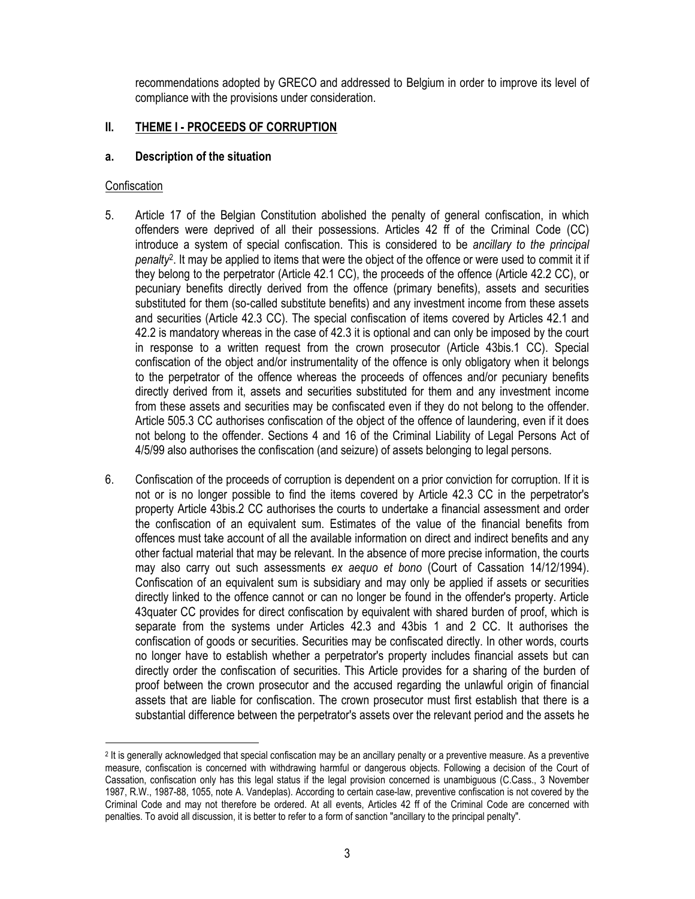recommendations adopted by GRECO and addressed to Belgium in order to improve its level of compliance with the provisions under consideration.

# **II. THEME I - PROCEEDS OF CORRUPTION**

### **a. Description of the situation**

#### **Confiscation**

- 5. Article 17 of the Belgian Constitution abolished the penalty of general confiscation, in which offenders were deprived of all their possessions. Articles 42 ff of the Criminal Code (CC) introduce a system of special confiscation. This is considered to be *ancillary to the principal penalty*<sup>2</sup> . It may be applied to items that were the object of the offence or were used to commit it if they belong to the perpetrator (Article 42.1 CC), the proceeds of the offence (Article 42.2 CC), or pecuniary benefits directly derived from the offence (primary benefits), assets and securities substituted for them (so-called substitute benefits) and any investment income from these assets and securities (Article 42.3 CC). The special confiscation of items covered by Articles 42.1 and 42.2 is mandatory whereas in the case of 42.3 it is optional and can only be imposed by the court in response to a written request from the crown prosecutor (Article 43bis.1 CC). Special confiscation of the object and/or instrumentality of the offence is only obligatory when it belongs to the perpetrator of the offence whereas the proceeds of offences and/or pecuniary benefits directly derived from it, assets and securities substituted for them and any investment income from these assets and securities may be confiscated even if they do not belong to the offender. Article 505.3 CC authorises confiscation of the object of the offence of laundering, even if it does not belong to the offender. Sections 4 and 16 of the Criminal Liability of Legal Persons Act of 4/5/99 also authorises the confiscation (and seizure) of assets belonging to legal persons.
- 6. Confiscation of the proceeds of corruption is dependent on a prior conviction for corruption. If it is not or is no longer possible to find the items covered by Article 42.3 CC in the perpetrator's property Article 43bis.2 CC authorises the courts to undertake a financial assessment and order the confiscation of an equivalent sum. Estimates of the value of the financial benefits from offences must take account of all the available information on direct and indirect benefits and any other factual material that may be relevant. In the absence of more precise information, the courts may also carry out such assessments *ex aequo et bono* (Court of Cassation 14/12/1994). Confiscation of an equivalent sum is subsidiary and may only be applied if assets or securities directly linked to the offence cannot or can no longer be found in the offender's property. Article 43quater CC provides for direct confiscation by equivalent with shared burden of proof, which is separate from the systems under Articles 42.3 and 43bis 1 and 2 CC. It authorises the confiscation of goods or securities. Securities may be confiscated directly. In other words, courts no longer have to establish whether a perpetrator's property includes financial assets but can directly order the confiscation of securities. This Article provides for a sharing of the burden of proof between the crown prosecutor and the accused regarding the unlawful origin of financial assets that are liable for confiscation. The crown prosecutor must first establish that there is a substantial difference between the perpetrator's assets over the relevant period and the assets he

<sup>2</sup> It is generally acknowledged that special confiscation may be an ancillary penalty or a preventive measure. As a preventive measure, confiscation is concerned with withdrawing harmful or dangerous objects. Following a decision of the Court of Cassation, confiscation only has this legal status if the legal provision concerned is unambiguous (C.Cass., 3 November 1987, R.W., 1987-88, 1055, note A. Vandeplas). According to certain case-law, preventive confiscation is not covered by the Criminal Code and may not therefore be ordered. At all events, Articles 42 ff of the Criminal Code are concerned with penalties. To avoid all discussion, it is better to refer to a form of sanction "ancillary to the principal penalty".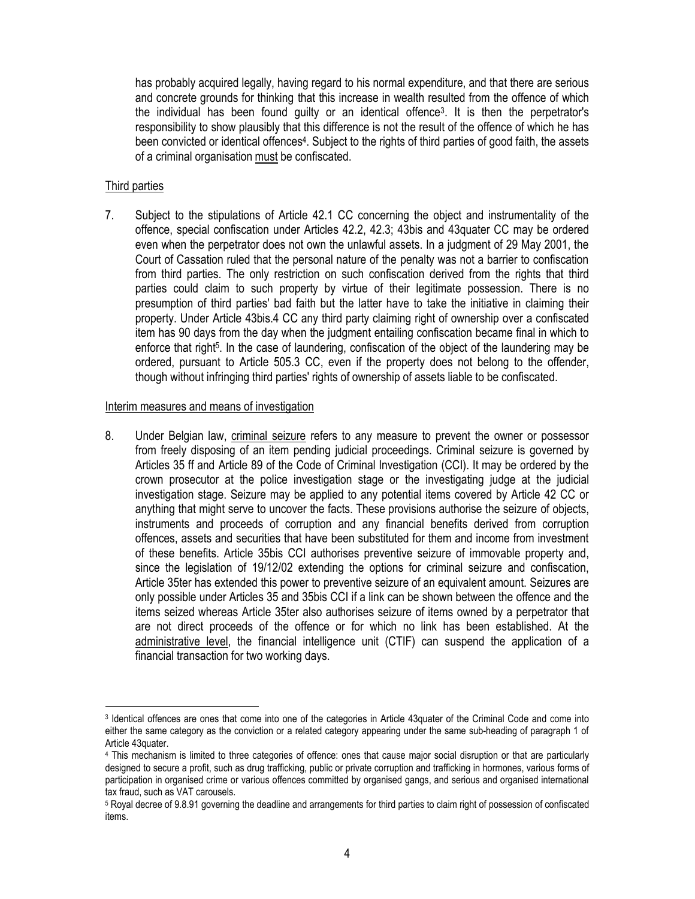has probably acquired legally, having regard to his normal expenditure, and that there are serious and concrete grounds for thinking that this increase in wealth resulted from the offence of which the individual has been found guilty or an identical offence<sup>3</sup>. It is then the perpetrator's responsibility to show plausibly that this difference is not the result of the offence of which he has been convicted or identical offences<sup>4</sup>. Subject to the rights of third parties of good faith, the assets of a criminal organisation must be confiscated.

#### Third parties

 $\overline{a}$ 

7. Subject to the stipulations of Article 42.1 CC concerning the object and instrumentality of the offence, special confiscation under Articles 42.2, 42.3; 43bis and 43quater CC may be ordered even when the perpetrator does not own the unlawful assets. In a judgment of 29 May 2001, the Court of Cassation ruled that the personal nature of the penalty was not a barrier to confiscation from third parties. The only restriction on such confiscation derived from the rights that third parties could claim to such property by virtue of their legitimate possession. There is no presumption of third parties' bad faith but the latter have to take the initiative in claiming their property. Under Article 43bis.4 CC any third party claiming right of ownership over a confiscated item has 90 days from the day when the judgment entailing confiscation became final in which to enforce that right<sup>5</sup>. In the case of laundering, confiscation of the object of the laundering may be ordered, pursuant to Article 505.3 CC, even if the property does not belong to the offender, though without infringing third parties' rights of ownership of assets liable to be confiscated.

#### Interim measures and means of investigation

8. Under Belgian law, criminal seizure refers to any measure to prevent the owner or possessor from freely disposing of an item pending judicial proceedings. Criminal seizure is governed by Articles 35 ff and Article 89 of the Code of Criminal Investigation (CCI). It may be ordered by the crown prosecutor at the police investigation stage or the investigating judge at the judicial investigation stage. Seizure may be applied to any potential items covered by Article 42 CC or anything that might serve to uncover the facts. These provisions authorise the seizure of objects, instruments and proceeds of corruption and any financial benefits derived from corruption offences, assets and securities that have been substituted for them and income from investment of these benefits. Article 35bis CCI authorises preventive seizure of immovable property and, since the legislation of 19/12/02 extending the options for criminal seizure and confiscation, Article 35ter has extended this power to preventive seizure of an equivalent amount. Seizures are only possible under Articles 35 and 35bis CCI if a link can be shown between the offence and the items seized whereas Article 35ter also authorises seizure of items owned by a perpetrator that are not direct proceeds of the offence or for which no link has been established. At the administrative level, the financial intelligence unit (CTIF) can suspend the application of a financial transaction for two working days.

<sup>3</sup> Identical offences are ones that come into one of the categories in Article 43quater of the Criminal Code and come into either the same category as the conviction or a related category appearing under the same sub-heading of paragraph 1 of Article 43quater.

<sup>4</sup> This mechanism is limited to three categories of offence: ones that cause major social disruption or that are particularly designed to secure a profit, such as drug trafficking, public or private corruption and trafficking in hormones, various forms of participation in organised crime or various offences committed by organised gangs, and serious and organised international tax fraud, such as VAT carousels.

<sup>5</sup> Royal decree of 9.8.91 governing the deadline and arrangements for third parties to claim right of possession of confiscated items.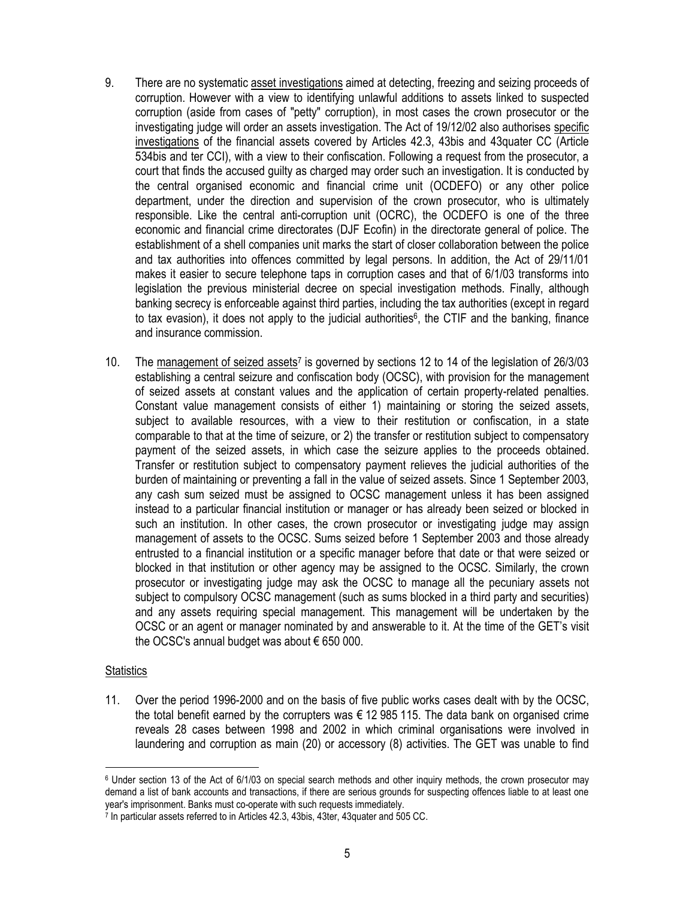- 9. There are no systematic asset investigations aimed at detecting, freezing and seizing proceeds of corruption. However with a view to identifying unlawful additions to assets linked to suspected corruption (aside from cases of "petty" corruption), in most cases the crown prosecutor or the investigating judge will order an assets investigation. The Act of 19/12/02 also authorises specific investigations of the financial assets covered by Articles 42.3, 43bis and 43quater CC (Article 534bis and ter CCI), with a view to their confiscation. Following a request from the prosecutor, a court that finds the accused guilty as charged may order such an investigation. It is conducted by the central organised economic and financial crime unit (OCDEFO) or any other police department, under the direction and supervision of the crown prosecutor, who is ultimately responsible. Like the central anti-corruption unit (OCRC), the OCDEFO is one of the three economic and financial crime directorates (DJF Ecofin) in the directorate general of police. The establishment of a shell companies unit marks the start of closer collaboration between the police and tax authorities into offences committed by legal persons. In addition, the Act of 29/11/01 makes it easier to secure telephone taps in corruption cases and that of 6/1/03 transforms into legislation the previous ministerial decree on special investigation methods. Finally, although banking secrecy is enforceable against third parties, including the tax authorities (except in regard to tax evasion), it does not apply to the judicial authorities<sup>6</sup>, the CTIF and the banking, finance and insurance commission.
- 10. The management of seized assets<sup>7</sup> is governed by sections 12 to 14 of the legislation of 26/3/03 establishing a central seizure and confiscation body (OCSC), with provision for the management of seized assets at constant values and the application of certain property-related penalties. Constant value management consists of either 1) maintaining or storing the seized assets, subject to available resources, with a view to their restitution or confiscation, in a state comparable to that at the time of seizure, or 2) the transfer or restitution subject to compensatory payment of the seized assets, in which case the seizure applies to the proceeds obtained. Transfer or restitution subject to compensatory payment relieves the judicial authorities of the burden of maintaining or preventing a fall in the value of seized assets. Since 1 September 2003, any cash sum seized must be assigned to OCSC management unless it has been assigned instead to a particular financial institution or manager or has already been seized or blocked in such an institution. In other cases, the crown prosecutor or investigating judge may assign management of assets to the OCSC. Sums seized before 1 September 2003 and those already entrusted to a financial institution or a specific manager before that date or that were seized or blocked in that institution or other agency may be assigned to the OCSC. Similarly, the crown prosecutor or investigating judge may ask the OCSC to manage all the pecuniary assets not subject to compulsory OCSC management (such as sums blocked in a third party and securities) and any assets requiring special management. This management will be undertaken by the OCSC or an agent or manager nominated by and answerable to it. At the time of the GET's visit the OCSC's annual budget was about € 650 000.

#### **Statistics**

 $\overline{\phantom{a}}$ 

11. Over the period 1996-2000 and on the basis of five public works cases dealt with by the OCSC, the total benefit earned by the corrupters was  $\epsilon$  12 985 115. The data bank on organised crime reveals 28 cases between 1998 and 2002 in which criminal organisations were involved in laundering and corruption as main (20) or accessory (8) activities. The GET was unable to find

<sup>6</sup> Under section 13 of the Act of 6/1/03 on special search methods and other inquiry methods, the crown prosecutor may demand a list of bank accounts and transactions, if there are serious grounds for suspecting offences liable to at least one year's imprisonment. Banks must co-operate with such requests immediately.

<sup>7</sup> In particular assets referred to in Articles 42.3, 43bis, 43ter, 43quater and 505 CC.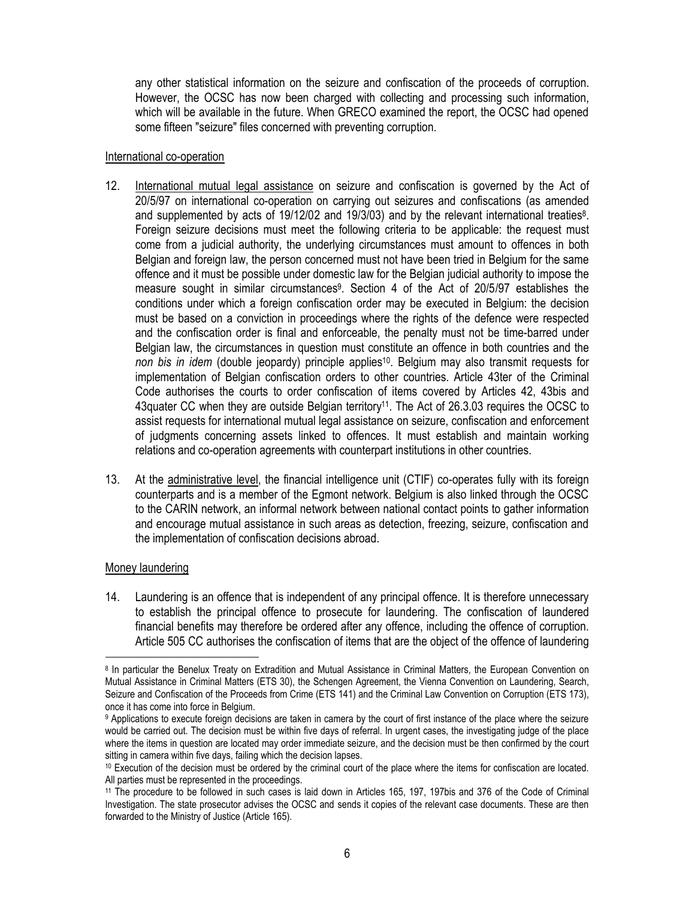any other statistical information on the seizure and confiscation of the proceeds of corruption. However, the OCSC has now been charged with collecting and processing such information, which will be available in the future. When GRECO examined the report, the OCSC had opened some fifteen "seizure" files concerned with preventing corruption.

#### International co-operation

- 12. International mutual legal assistance on seizure and confiscation is governed by the Act of 20/5/97 on international co-operation on carrying out seizures and confiscations (as amended and supplemented by acts of 19/12/02 and 19/3/03) and by the relevant international treaties<sup>8</sup>. Foreign seizure decisions must meet the following criteria to be applicable: the request must come from a judicial authority, the underlying circumstances must amount to offences in both Belgian and foreign law, the person concerned must not have been tried in Belgium for the same offence and it must be possible under domestic law for the Belgian judicial authority to impose the measure sought in similar circumstances<sup>9</sup>. Section 4 of the Act of 20/5/97 establishes the conditions under which a foreign confiscation order may be executed in Belgium: the decision must be based on a conviction in proceedings where the rights of the defence were respected and the confiscation order is final and enforceable, the penalty must not be time-barred under Belgian law, the circumstances in question must constitute an offence in both countries and the non bis in idem (double jeopardy) principle applies<sup>10</sup>. Belgium may also transmit requests for implementation of Belgian confiscation orders to other countries. Article 43ter of the Criminal Code authorises the courts to order confiscation of items covered by Articles 42, 43bis and 43quater CC when they are outside Belgian territory<sup>11</sup>. The Act of 26.3.03 requires the OCSC to assist requests for international mutual legal assistance on seizure, confiscation and enforcement of judgments concerning assets linked to offences. It must establish and maintain working relations and co-operation agreements with counterpart institutions in other countries.
- 13. At the administrative level, the financial intelligence unit (CTIF) co-operates fully with its foreign counterparts and is a member of the Egmont network. Belgium is also linked through the OCSC to the CARIN network, an informal network between national contact points to gather information and encourage mutual assistance in such areas as detection, freezing, seizure, confiscation and the implementation of confiscation decisions abroad.

# Money laundering

 $\overline{a}$ 

14. Laundering is an offence that is independent of any principal offence. It is therefore unnecessary to establish the principal offence to prosecute for laundering. The confiscation of laundered financial benefits may therefore be ordered after any offence, including the offence of corruption. Article 505 CC authorises the confiscation of items that are the object of the offence of laundering

<sup>&</sup>lt;sup>8</sup> In particular the Benelux Treaty on Extradition and Mutual Assistance in Criminal Matters, the European Convention on Mutual Assistance in Criminal Matters (ETS 30), the Schengen Agreement, the Vienna Convention on Laundering, Search, Seizure and Confiscation of the Proceeds from Crime (ETS 141) and the Criminal Law Convention on Corruption (ETS 173), once it has come into force in Belgium.

<sup>9</sup> Applications to execute foreign decisions are taken in camera by the court of first instance of the place where the seizure would be carried out. The decision must be within five days of referral. In urgent cases, the investigating judge of the place where the items in question are located may order immediate seizure, and the decision must be then confirmed by the court sitting in camera within five days, failing which the decision lapses.

<sup>10</sup> Execution of the decision must be ordered by the criminal court of the place where the items for confiscation are located. All parties must be represented in the proceedings.

<sup>11</sup> The procedure to be followed in such cases is laid down in Articles 165, 197, 197bis and 376 of the Code of Criminal Investigation. The state prosecutor advises the OCSC and sends it copies of the relevant case documents. These are then forwarded to the Ministry of Justice (Article 165).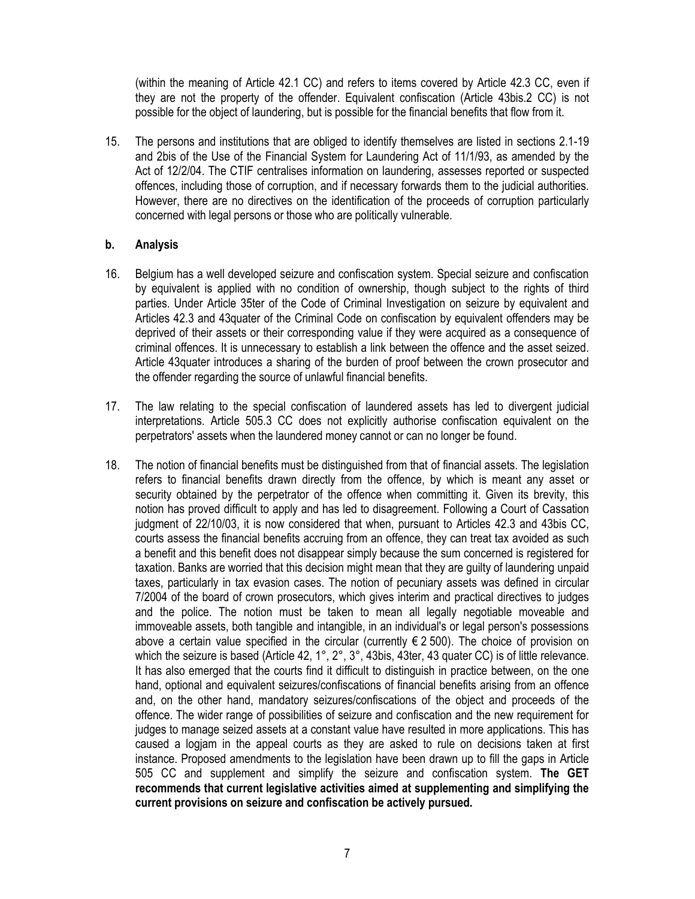(within the meaning of Article 42.1 CC) and refers to items covered by Article 42.3 CC, even if they are not the property of the offender. Equivalent confiscation (Article 43bis.2 CC) is not possible for the object of laundering, but is possible for the financial benefits that flow from it.

15. The persons and institutions that are obliged to identify themselves are listed in sections 2.1-19 and 2bis of the Use of the Financial System for Laundering Act of 11/1/93, as amended by the Act of 12/2/04. The CTIF centralises information on laundering, assesses reported or suspected offences, including those of corruption, and if necessary forwards them to the judicial authorities. However, there are no directives on the identification of the proceeds of corruption particularly concerned with legal persons or those who are politically vulnerable.

#### **b. Analysis**

- 16. Belgium has a well developed seizure and confiscation system. Special seizure and confiscation by equivalent is applied with no condition of ownership, though subject to the rights of third parties. Under Article 35ter of the Code of Criminal Investigation on seizure by equivalent and Articles 42.3 and 43quater of the Criminal Code on confiscation by equivalent offenders may be deprived of their assets or their corresponding value if they were acquired as a consequence of criminal offences. It is unnecessary to establish a link between the offence and the asset seized. Article 43quater introduces a sharing of the burden of proof between the crown prosecutor and the offender regarding the source of unlawful financial benefits.
- 17. The law relating to the special confiscation of laundered assets has led to divergent judicial interpretations. Article 505.3 CC does not explicitly authorise confiscation equivalent on the perpetrators' assets when the laundered money cannot or can no longer be found.
- 18. The notion of financial benefits must be distinguished from that of financial assets. The legislation refers to financial benefits drawn directly from the offence, by which is meant any asset or security obtained by the perpetrator of the offence when committing it. Given its brevity, this notion has proved difficult to apply and has led to disagreement. Following a Court of Cassation judgment of 22/10/03, it is now considered that when, pursuant to Articles 42.3 and 43bis CC, courts assess the financial benefits accruing from an offence, they can treat tax avoided as such a benefit and this benefit does not disappear simply because the sum concerned is registered for taxation. Banks are worried that this decision might mean that they are guilty of laundering unpaid taxes, particularly in tax evasion cases. The notion of pecuniary assets was defined in circular 7/2004 of the board of crown prosecutors, which gives interim and practical directives to judges and the police. The notion must be taken to mean all legally negotiable moveable and immoveable assets, both tangible and intangible, in an individual's or legal person's possessions above a certain value specified in the circular (currently  $\epsilon$  2 500). The choice of provision on which the seizure is based (Article 42, 1°, 2°, 3°, 43bis, 43ter, 43 quater CC) is of little relevance. It has also emerged that the courts find it difficult to distinguish in practice between, on the one hand, optional and equivalent seizures/confiscations of financial benefits arising from an offence and, on the other hand, mandatory seizures/confiscations of the object and proceeds of the offence. The wider range of possibilities of seizure and confiscation and the new requirement for judges to manage seized assets at a constant value have resulted in more applications. This has caused a logjam in the appeal courts as they are asked to rule on decisions taken at first instance. Proposed amendments to the legislation have been drawn up to fill the gaps in Article 505 CC and supplement and simplify the seizure and confiscation system. **The GET recommends that current legislative activities aimed at supplementing and simplifying the current provisions on seizure and confiscation be actively pursued.**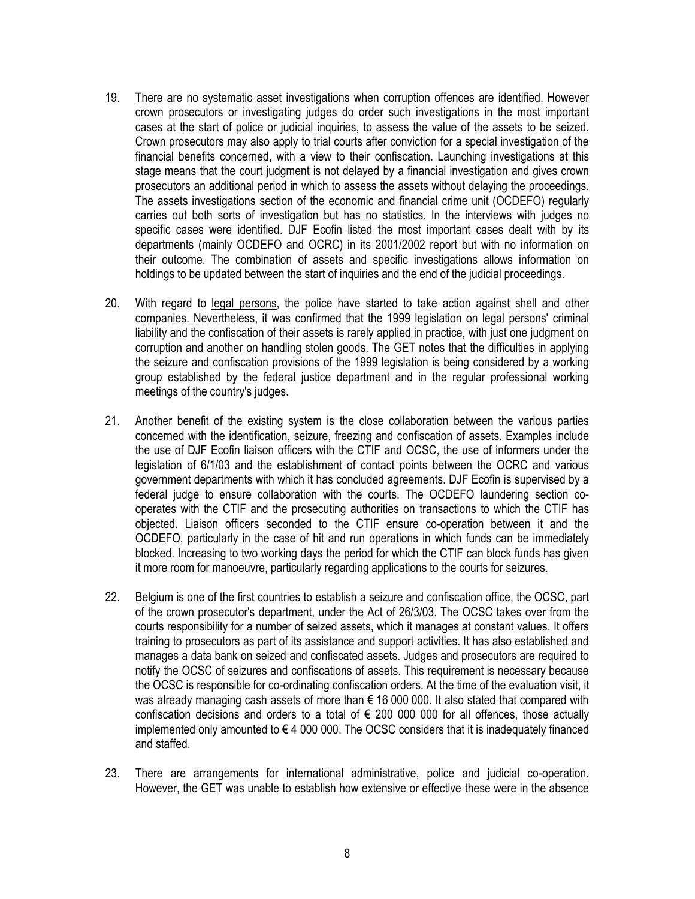- 19. There are no systematic asset investigations when corruption offences are identified. However crown prosecutors or investigating judges do order such investigations in the most important cases at the start of police or judicial inquiries, to assess the value of the assets to be seized. Crown prosecutors may also apply to trial courts after conviction for a special investigation of the financial benefits concerned, with a view to their confiscation. Launching investigations at this stage means that the court judgment is not delayed by a financial investigation and gives crown prosecutors an additional period in which to assess the assets without delaying the proceedings. The assets investigations section of the economic and financial crime unit (OCDEFO) regularly carries out both sorts of investigation but has no statistics. In the interviews with judges no specific cases were identified. DJF Ecofin listed the most important cases dealt with by its departments (mainly OCDEFO and OCRC) in its 2001/2002 report but with no information on their outcome. The combination of assets and specific investigations allows information on holdings to be updated between the start of inquiries and the end of the judicial proceedings.
- 20. With regard to legal persons, the police have started to take action against shell and other companies. Nevertheless, it was confirmed that the 1999 legislation on legal persons' criminal liability and the confiscation of their assets is rarely applied in practice, with just one judgment on corruption and another on handling stolen goods. The GET notes that the difficulties in applying the seizure and confiscation provisions of the 1999 legislation is being considered by a working group established by the federal justice department and in the regular professional working meetings of the country's judges.
- 21. Another benefit of the existing system is the close collaboration between the various parties concerned with the identification, seizure, freezing and confiscation of assets. Examples include the use of DJF Ecofin liaison officers with the CTIF and OCSC, the use of informers under the legislation of 6/1/03 and the establishment of contact points between the OCRC and various government departments with which it has concluded agreements. DJF Ecofin is supervised by a federal judge to ensure collaboration with the courts. The OCDEFO laundering section cooperates with the CTIF and the prosecuting authorities on transactions to which the CTIF has objected. Liaison officers seconded to the CTIF ensure co-operation between it and the OCDEFO, particularly in the case of hit and run operations in which funds can be immediately blocked. Increasing to two working days the period for which the CTIF can block funds has given it more room for manoeuvre, particularly regarding applications to the courts for seizures.
- 22. Belgium is one of the first countries to establish a seizure and confiscation office, the OCSC, part of the crown prosecutor's department, under the Act of 26/3/03. The OCSC takes over from the courts responsibility for a number of seized assets, which it manages at constant values. It offers training to prosecutors as part of its assistance and support activities. It has also established and manages a data bank on seized and confiscated assets. Judges and prosecutors are required to notify the OCSC of seizures and confiscations of assets. This requirement is necessary because the OCSC is responsible for co-ordinating confiscation orders. At the time of the evaluation visit, it was already managing cash assets of more than € 16 000 000. It also stated that compared with confiscation decisions and orders to a total of  $\epsilon$  200 000 000 for all offences, those actually implemented only amounted to  $\epsilon$  4 000 000. The OCSC considers that it is inadequately financed and staffed.
- 23. There are arrangements for international administrative, police and judicial co-operation. However, the GET was unable to establish how extensive or effective these were in the absence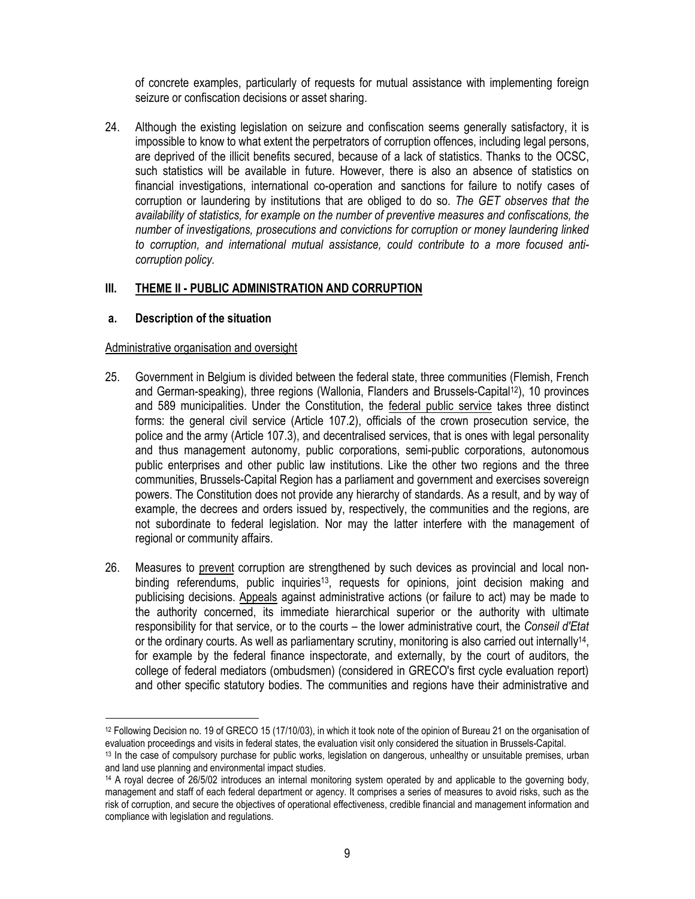of concrete examples, particularly of requests for mutual assistance with implementing foreign seizure or confiscation decisions or asset sharing.

24. Although the existing legislation on seizure and confiscation seems generally satisfactory, it is impossible to know to what extent the perpetrators of corruption offences, including legal persons, are deprived of the illicit benefits secured, because of a lack of statistics. Thanks to the OCSC, such statistics will be available in future. However, there is also an absence of statistics on financial investigations, international co-operation and sanctions for failure to notify cases of corruption or laundering by institutions that are obliged to do so. *The GET observes that the availability of statistics, for example on the number of preventive measures and confiscations, the number of investigations, prosecutions and convictions for corruption or money laundering linked to corruption, and international mutual assistance, could contribute to a more focused anticorruption policy.*

#### **III. THEME II - PUBLIC ADMINISTRATION AND CORRUPTION**

#### **a. Description of the situation**

#### Administrative organisation and oversight

- 25. Government in Belgium is divided between the federal state, three communities (Flemish, French and German-speaking), three regions (Wallonia, Flanders and Brussels-Capital12), 10 provinces and 589 municipalities. Under the Constitution, the federal public service takes three distinct forms: the general civil service (Article 107.2), officials of the crown prosecution service, the police and the army (Article 107.3), and decentralised services, that is ones with legal personality and thus management autonomy, public corporations, semi-public corporations, autonomous public enterprises and other public law institutions. Like the other two regions and the three communities, Brussels-Capital Region has a parliament and government and exercises sovereign powers. The Constitution does not provide any hierarchy of standards. As a result, and by way of example, the decrees and orders issued by, respectively, the communities and the regions, are not subordinate to federal legislation. Nor may the latter interfere with the management of regional or community affairs.
- 26. Measures to prevent corruption are strengthened by such devices as provincial and local nonbinding referendums, public inquiries<sup>13</sup>, requests for opinions, joint decision making and publicising decisions. Appeals against administrative actions (or failure to act) may be made to the authority concerned, its immediate hierarchical superior or the authority with ultimate responsibility for that service, or to the courts – the lower administrative court, the *Conseil d'Etat*  or the ordinary courts. As well as parliamentary scrutiny, monitoring is also carried out internally<sup>14</sup>, for example by the federal finance inspectorate, and externally, by the court of auditors, the college of federal mediators (ombudsmen) (considered in GRECO's first cycle evaluation report) and other specific statutory bodies. The communities and regions have their administrative and

 $\overline{\phantom{a}}$ <sup>12</sup> Following Decision no. 19 of GRECO 15 (17/10/03), in which it took note of the opinion of Bureau 21 on the organisation of evaluation proceedings and visits in federal states, the evaluation visit only considered the situation in Brussels-Capital.

<sup>13</sup> In the case of compulsory purchase for public works, legislation on dangerous, unhealthy or unsuitable premises, urban and land use planning and environmental impact studies.

<sup>14</sup> A royal decree of 26/5/02 introduces an internal monitoring system operated by and applicable to the governing body, management and staff of each federal department or agency. It comprises a series of measures to avoid risks, such as the risk of corruption, and secure the objectives of operational effectiveness, credible financial and management information and compliance with legislation and regulations.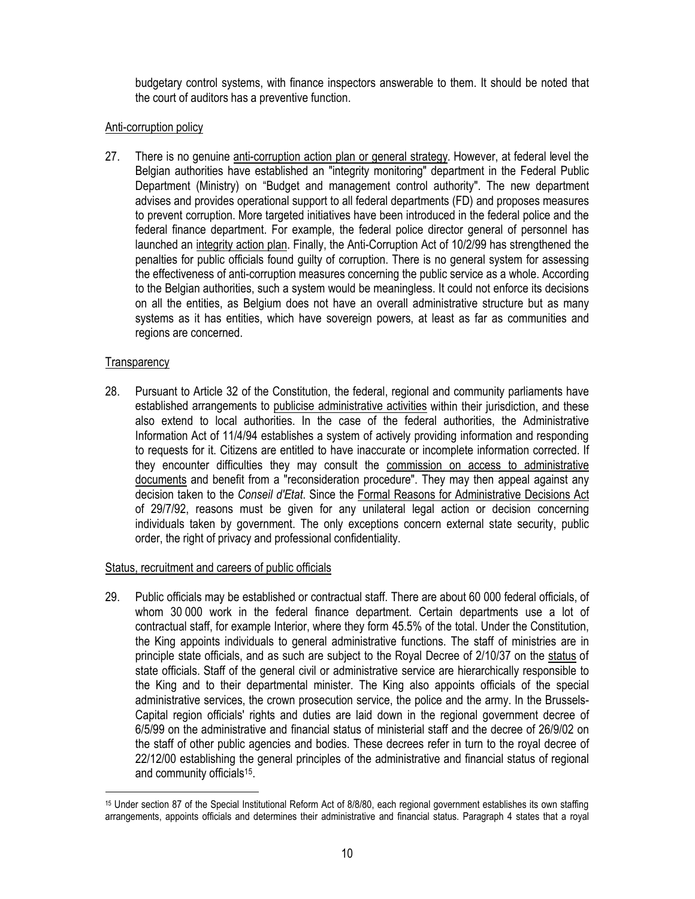budgetary control systems, with finance inspectors answerable to them. It should be noted that the court of auditors has a preventive function.

# Anti-corruption policy

27. There is no genuine anti-corruption action plan or general strategy. However, at federal level the Belgian authorities have established an "integrity monitoring" department in the Federal Public Department (Ministry) on "Budget and management control authority". The new department advises and provides operational support to all federal departments (FD) and proposes measures to prevent corruption. More targeted initiatives have been introduced in the federal police and the federal finance department. For example, the federal police director general of personnel has launched an integrity action plan. Finally, the Anti-Corruption Act of 10/2/99 has strengthened the penalties for public officials found guilty of corruption. There is no general system for assessing the effectiveness of anti-corruption measures concerning the public service as a whole. According to the Belgian authorities, such a system would be meaningless. It could not enforce its decisions on all the entities, as Belgium does not have an overall administrative structure but as many systems as it has entities, which have sovereign powers, at least as far as communities and regions are concerned.

# **Transparency**

28. Pursuant to Article 32 of the Constitution, the federal, regional and community parliaments have established arrangements to publicise administrative activities within their jurisdiction, and these also extend to local authorities. In the case of the federal authorities, the Administrative Information Act of 11/4/94 establishes a system of actively providing information and responding to requests for it. Citizens are entitled to have inaccurate or incomplete information corrected. If they encounter difficulties they may consult the commission on access to administrative documents and benefit from a "reconsideration procedure". They may then appeal against any decision taken to the *Conseil d'Etat*. Since the Formal Reasons for Administrative Decisions Act of 29/7/92, reasons must be given for any unilateral legal action or decision concerning individuals taken by government. The only exceptions concern external state security, public order, the right of privacy and professional confidentiality.

# Status, recruitment and careers of public officials

29. Public officials may be established or contractual staff. There are about 60 000 federal officials, of whom 30 000 work in the federal finance department. Certain departments use a lot of contractual staff, for example Interior, where they form 45.5% of the total. Under the Constitution, the King appoints individuals to general administrative functions. The staff of ministries are in principle state officials, and as such are subject to the Royal Decree of 2/10/37 on the status of state officials. Staff of the general civil or administrative service are hierarchically responsible to the King and to their departmental minister. The King also appoints officials of the special administrative services, the crown prosecution service, the police and the army. In the Brussels-Capital region officials' rights and duties are laid down in the regional government decree of 6/5/99 on the administrative and financial status of ministerial staff and the decree of 26/9/02 on the staff of other public agencies and bodies. These decrees refer in turn to the royal decree of 22/12/00 establishing the general principles of the administrative and financial status of regional and community officials<sup>15</sup>.

 $\overline{\phantom{a}}$ <sup>15</sup> Under section 87 of the Special Institutional Reform Act of 8/8/80, each regional government establishes its own staffing arrangements, appoints officials and determines their administrative and financial status. Paragraph 4 states that a royal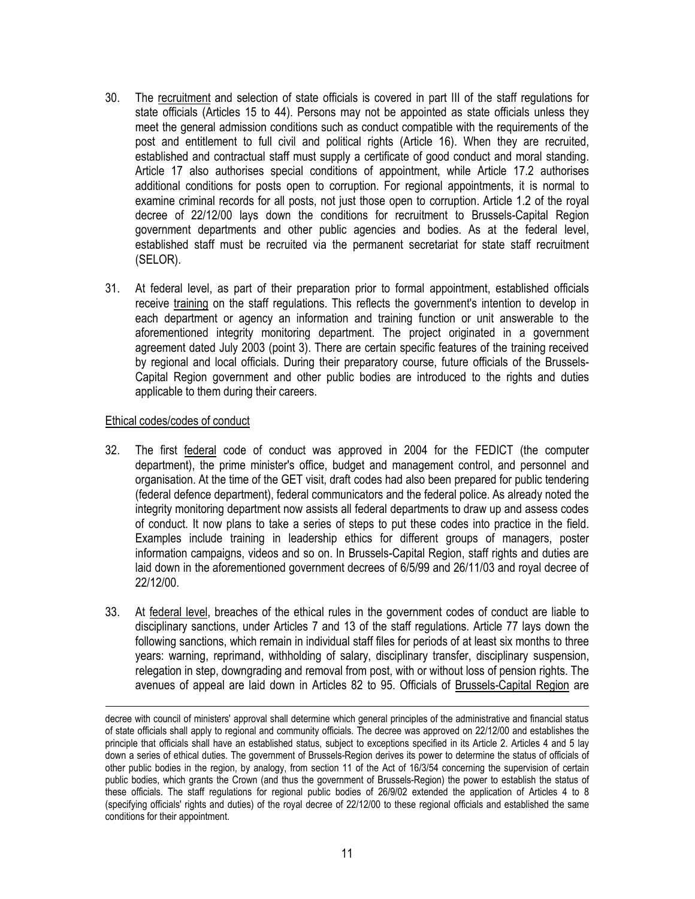- 30. The recruitment and selection of state officials is covered in part III of the staff regulations for state officials (Articles 15 to 44). Persons may not be appointed as state officials unless they meet the general admission conditions such as conduct compatible with the requirements of the post and entitlement to full civil and political rights (Article 16). When they are recruited, established and contractual staff must supply a certificate of good conduct and moral standing. Article 17 also authorises special conditions of appointment, while Article 17.2 authorises additional conditions for posts open to corruption. For regional appointments, it is normal to examine criminal records for all posts, not just those open to corruption. Article 1.2 of the royal decree of 22/12/00 lays down the conditions for recruitment to Brussels-Capital Region government departments and other public agencies and bodies. As at the federal level, established staff must be recruited via the permanent secretariat for state staff recruitment (SELOR).
- 31. At federal level, as part of their preparation prior to formal appointment, established officials receive training on the staff regulations. This reflects the government's intention to develop in each department or agency an information and training function or unit answerable to the aforementioned integrity monitoring department. The project originated in a government agreement dated July 2003 (point 3). There are certain specific features of the training received by regional and local officials. During their preparatory course, future officials of the Brussels-Capital Region government and other public bodies are introduced to the rights and duties applicable to them during their careers.

#### Ethical codes/codes of conduct

- 32. The first federal code of conduct was approved in 2004 for the FEDICT (the computer department), the prime minister's office, budget and management control, and personnel and organisation. At the time of the GET visit, draft codes had also been prepared for public tendering (federal defence department), federal communicators and the federal police. As already noted the integrity monitoring department now assists all federal departments to draw up and assess codes of conduct. It now plans to take a series of steps to put these codes into practice in the field. Examples include training in leadership ethics for different groups of managers, poster information campaigns, videos and so on. In Brussels-Capital Region, staff rights and duties are laid down in the aforementioned government decrees of 6/5/99 and 26/11/03 and royal decree of 22/12/00.
- 33. At federal level, breaches of the ethical rules in the government codes of conduct are liable to disciplinary sanctions, under Articles 7 and 13 of the staff regulations. Article 77 lays down the following sanctions, which remain in individual staff files for periods of at least six months to three years: warning, reprimand, withholding of salary, disciplinary transfer, disciplinary suspension, relegation in step, downgrading and removal from post, with or without loss of pension rights. The avenues of appeal are laid down in Articles 82 to 95. Officials of Brussels-Capital Region are

decree with council of ministers' approval shall determine which general principles of the administrative and financial status of state officials shall apply to regional and community officials. The decree was approved on 22/12/00 and establishes the principle that officials shall have an established status, subject to exceptions specified in its Article 2. Articles 4 and 5 lay down a series of ethical duties. The government of Brussels-Region derives its power to determine the status of officials of other public bodies in the region, by analogy, from section 11 of the Act of 16/3/54 concerning the supervision of certain public bodies, which grants the Crown (and thus the government of Brussels-Region) the power to establish the status of these officials. The staff regulations for regional public bodies of 26/9/02 extended the application of Articles 4 to 8 (specifying officials' rights and duties) of the royal decree of 22/12/00 to these regional officials and established the same conditions for their appointment.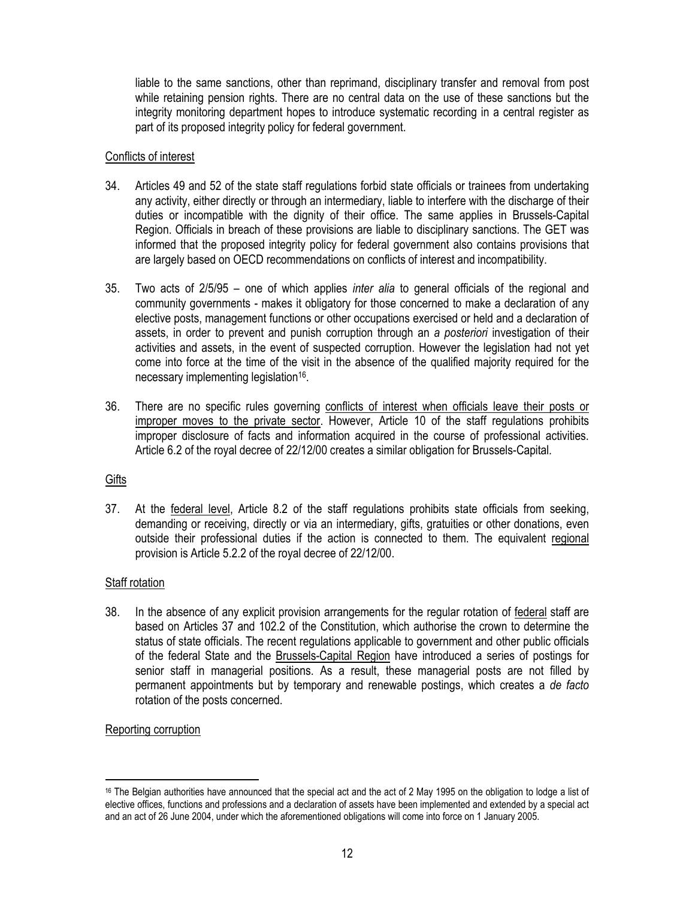liable to the same sanctions, other than reprimand, disciplinary transfer and removal from post while retaining pension rights. There are no central data on the use of these sanctions but the integrity monitoring department hopes to introduce systematic recording in a central register as part of its proposed integrity policy for federal government.

#### Conflicts of interest

- 34. Articles 49 and 52 of the state staff regulations forbid state officials or trainees from undertaking any activity, either directly or through an intermediary, liable to interfere with the discharge of their duties or incompatible with the dignity of their office. The same applies in Brussels-Capital Region. Officials in breach of these provisions are liable to disciplinary sanctions. The GET was informed that the proposed integrity policy for federal government also contains provisions that are largely based on OECD recommendations on conflicts of interest and incompatibility.
- 35. Two acts of 2/5/95 one of which applies *inter alia* to general officials of the regional and community governments - makes it obligatory for those concerned to make a declaration of any elective posts, management functions or other occupations exercised or held and a declaration of assets, in order to prevent and punish corruption through an *a posteriori* investigation of their activities and assets, in the event of suspected corruption. However the legislation had not yet come into force at the time of the visit in the absence of the qualified majority required for the necessary implementing legislation<sup>16</sup>.
- 36. There are no specific rules governing conflicts of interest when officials leave their posts or improper moves to the private sector. However, Article 10 of the staff regulations prohibits improper disclosure of facts and information acquired in the course of professional activities. Article 6.2 of the royal decree of 22/12/00 creates a similar obligation for Brussels-Capital.

# **Gifts**

37. At the federal level, Article 8.2 of the staff regulations prohibits state officials from seeking, demanding or receiving, directly or via an intermediary, gifts, gratuities or other donations, even outside their professional duties if the action is connected to them. The equivalent regional provision is Article 5.2.2 of the royal decree of 22/12/00.

# Staff rotation

38. In the absence of any explicit provision arrangements for the regular rotation of federal staff are based on Articles 37 and 102.2 of the Constitution, which authorise the crown to determine the status of state officials. The recent regulations applicable to government and other public officials of the federal State and the Brussels-Capital Region have introduced a series of postings for senior staff in managerial positions. As a result, these managerial posts are not filled by permanent appointments but by temporary and renewable postings, which creates a *de facto* rotation of the posts concerned.

# Reporting corruption

 $\overline{\phantom{a}}$ 

<sup>&</sup>lt;sup>16</sup> The Belgian authorities have announced that the special act and the act of 2 May 1995 on the obligation to lodge a list of elective offices, functions and professions and a declaration of assets have been implemented and extended by a special act and an act of 26 June 2004, under which the aforementioned obligations will come into force on 1 January 2005.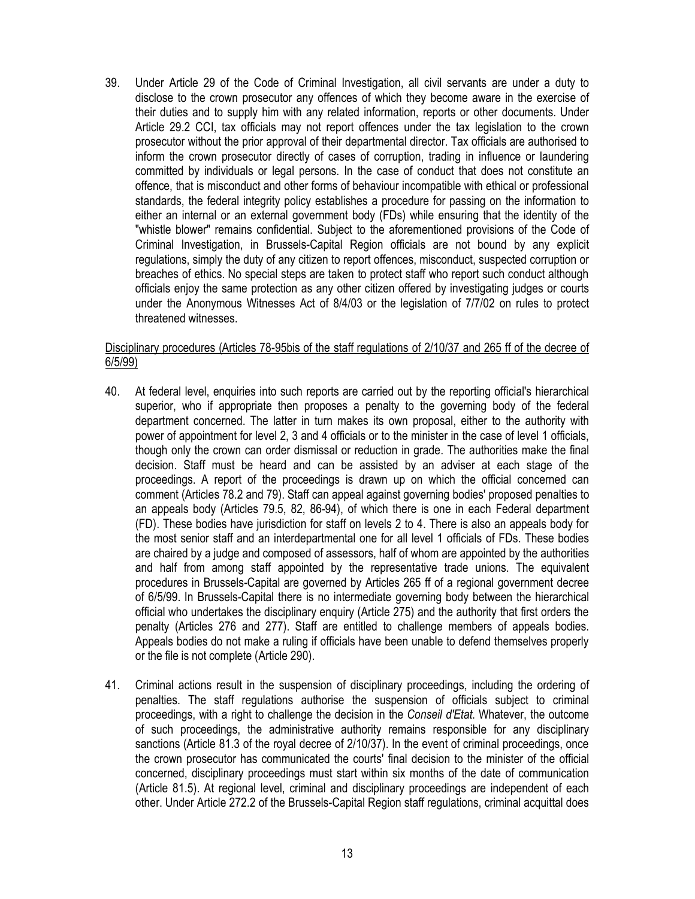39. Under Article 29 of the Code of Criminal Investigation, all civil servants are under a duty to disclose to the crown prosecutor any offences of which they become aware in the exercise of their duties and to supply him with any related information, reports or other documents. Under Article 29.2 CCI, tax officials may not report offences under the tax legislation to the crown prosecutor without the prior approval of their departmental director. Tax officials are authorised to inform the crown prosecutor directly of cases of corruption, trading in influence or laundering committed by individuals or legal persons. In the case of conduct that does not constitute an offence, that is misconduct and other forms of behaviour incompatible with ethical or professional standards, the federal integrity policy establishes a procedure for passing on the information to either an internal or an external government body (FDs) while ensuring that the identity of the "whistle blower" remains confidential. Subject to the aforementioned provisions of the Code of Criminal Investigation, in Brussels-Capital Region officials are not bound by any explicit regulations, simply the duty of any citizen to report offences, misconduct, suspected corruption or breaches of ethics. No special steps are taken to protect staff who report such conduct although officials enjoy the same protection as any other citizen offered by investigating judges or courts under the Anonymous Witnesses Act of 8/4/03 or the legislation of 7/7/02 on rules to protect threatened witnesses.

### Disciplinary procedures (Articles 78-95bis of the staff regulations of 2/10/37 and 265 ff of the decree of 6/5/99)

- 40. At federal level, enquiries into such reports are carried out by the reporting official's hierarchical superior, who if appropriate then proposes a penalty to the governing body of the federal department concerned. The latter in turn makes its own proposal, either to the authority with power of appointment for level 2, 3 and 4 officials or to the minister in the case of level 1 officials, though only the crown can order dismissal or reduction in grade. The authorities make the final decision. Staff must be heard and can be assisted by an adviser at each stage of the proceedings. A report of the proceedings is drawn up on which the official concerned can comment (Articles 78.2 and 79). Staff can appeal against governing bodies' proposed penalties to an appeals body (Articles 79.5, 82, 86-94), of which there is one in each Federal department (FD). These bodies have jurisdiction for staff on levels 2 to 4. There is also an appeals body for the most senior staff and an interdepartmental one for all level 1 officials of FDs. These bodies are chaired by a judge and composed of assessors, half of whom are appointed by the authorities and half from among staff appointed by the representative trade unions. The equivalent procedures in Brussels-Capital are governed by Articles 265 ff of a regional government decree of 6/5/99. In Brussels-Capital there is no intermediate governing body between the hierarchical official who undertakes the disciplinary enquiry (Article 275) and the authority that first orders the penalty (Articles 276 and 277). Staff are entitled to challenge members of appeals bodies. Appeals bodies do not make a ruling if officials have been unable to defend themselves properly or the file is not complete (Article 290).
- 41. Criminal actions result in the suspension of disciplinary proceedings, including the ordering of penalties. The staff regulations authorise the suspension of officials subject to criminal proceedings, with a right to challenge the decision in the *Conseil d'Etat*. Whatever, the outcome of such proceedings, the administrative authority remains responsible for any disciplinary sanctions (Article 81.3 of the royal decree of 2/10/37). In the event of criminal proceedings, once the crown prosecutor has communicated the courts' final decision to the minister of the official concerned, disciplinary proceedings must start within six months of the date of communication (Article 81.5). At regional level, criminal and disciplinary proceedings are independent of each other. Under Article 272.2 of the Brussels-Capital Region staff regulations, criminal acquittal does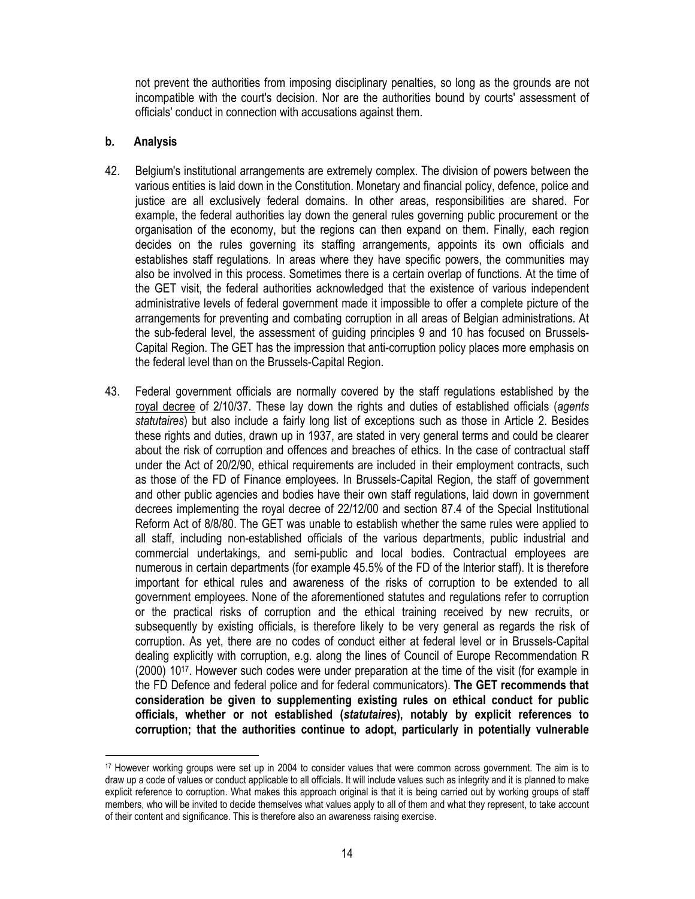not prevent the authorities from imposing disciplinary penalties, so long as the grounds are not incompatible with the court's decision. Nor are the authorities bound by courts' assessment of officials' conduct in connection with accusations against them.

### **b. Analysis**

- 42. Belgium's institutional arrangements are extremely complex. The division of powers between the various entities is laid down in the Constitution. Monetary and financial policy, defence, police and justice are all exclusively federal domains. In other areas, responsibilities are shared. For example, the federal authorities lay down the general rules governing public procurement or the organisation of the economy, but the regions can then expand on them. Finally, each region decides on the rules governing its staffing arrangements, appoints its own officials and establishes staff regulations. In areas where they have specific powers, the communities may also be involved in this process. Sometimes there is a certain overlap of functions. At the time of the GET visit, the federal authorities acknowledged that the existence of various independent administrative levels of federal government made it impossible to offer a complete picture of the arrangements for preventing and combating corruption in all areas of Belgian administrations. At the sub-federal level, the assessment of guiding principles 9 and 10 has focused on Brussels-Capital Region. The GET has the impression that anti-corruption policy places more emphasis on the federal level than on the Brussels-Capital Region.
- 43. Federal government officials are normally covered by the staff regulations established by the royal decree of 2/10/37. These lay down the rights and duties of established officials (*agents statutaires*) but also include a fairly long list of exceptions such as those in Article 2. Besides these rights and duties, drawn up in 1937, are stated in very general terms and could be clearer about the risk of corruption and offences and breaches of ethics. In the case of contractual staff under the Act of 20/2/90, ethical requirements are included in their employment contracts, such as those of the FD of Finance employees. In Brussels-Capital Region, the staff of government and other public agencies and bodies have their own staff regulations, laid down in government decrees implementing the royal decree of 22/12/00 and section 87.4 of the Special Institutional Reform Act of 8/8/80. The GET was unable to establish whether the same rules were applied to all staff, including non-established officials of the various departments, public industrial and commercial undertakings, and semi-public and local bodies. Contractual employees are numerous in certain departments (for example 45.5% of the FD of the Interior staff). It is therefore important for ethical rules and awareness of the risks of corruption to be extended to all government employees. None of the aforementioned statutes and regulations refer to corruption or the practical risks of corruption and the ethical training received by new recruits, or subsequently by existing officials, is therefore likely to be very general as regards the risk of corruption. As yet, there are no codes of conduct either at federal level or in Brussels-Capital dealing explicitly with corruption, e.g. along the lines of Council of Europe Recommendation R (2000) 10<sup>17</sup> . However such codes were under preparation at the time of the visit (for example in the FD Defence and federal police and for federal communicators). **The GET recommends that consideration be given to supplementing existing rules on ethical conduct for public officials, whether or not established (***statutaires***), notably by explicit references to corruption; that the authorities continue to adopt, particularly in potentially vulnerable**

<sup>17</sup> However working groups were set up in 2004 to consider values that were common across government. The aim is to draw up a code of values or conduct applicable to all officials. It will include values such as integrity and it is planned to make explicit reference to corruption. What makes this approach original is that it is being carried out by working groups of staff members, who will be invited to decide themselves what values apply to all of them and what they represent, to take account of their content and significance. This is therefore also an awareness raising exercise.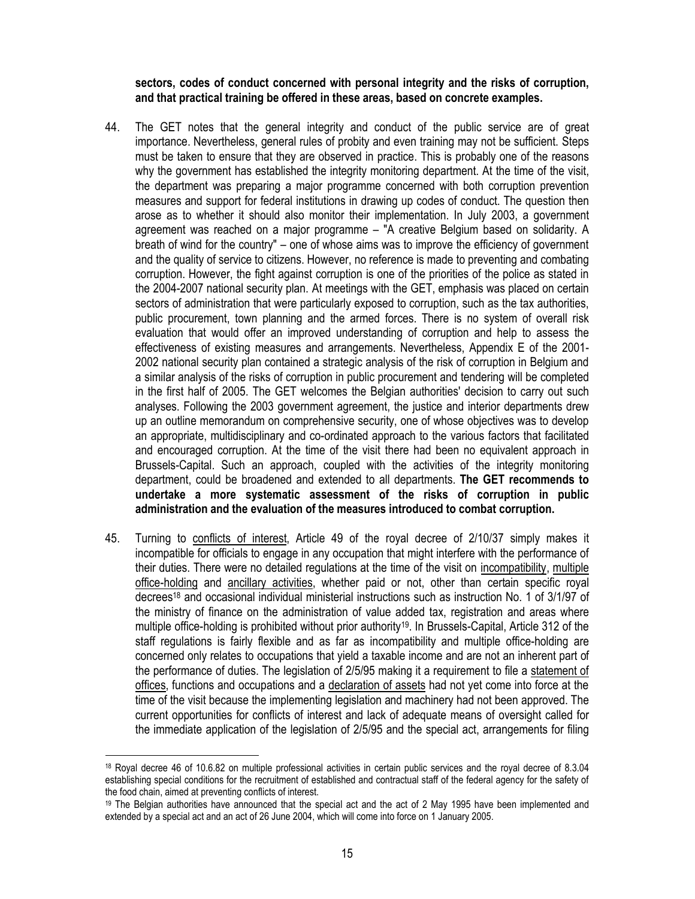**sectors, codes of conduct concerned with personal integrity and the risks of corruption, and that practical training be offered in these areas, based on concrete examples.**

- 44. The GET notes that the general integrity and conduct of the public service are of great importance. Nevertheless, general rules of probity and even training may not be sufficient. Steps must be taken to ensure that they are observed in practice. This is probably one of the reasons why the government has established the integrity monitoring department. At the time of the visit, the department was preparing a major programme concerned with both corruption prevention measures and support for federal institutions in drawing up codes of conduct. The question then arose as to whether it should also monitor their implementation. In July 2003, a government agreement was reached on a major programme – "A creative Belgium based on solidarity. A breath of wind for the country" – one of whose aims was to improve the efficiency of government and the quality of service to citizens. However, no reference is made to preventing and combating corruption. However, the fight against corruption is one of the priorities of the police as stated in the 2004-2007 national security plan. At meetings with the GET, emphasis was placed on certain sectors of administration that were particularly exposed to corruption, such as the tax authorities, public procurement, town planning and the armed forces. There is no system of overall risk evaluation that would offer an improved understanding of corruption and help to assess the effectiveness of existing measures and arrangements. Nevertheless, Appendix E of the 2001- 2002 national security plan contained a strategic analysis of the risk of corruption in Belgium and a similar analysis of the risks of corruption in public procurement and tendering will be completed in the first half of 2005. The GET welcomes the Belgian authorities' decision to carry out such analyses. Following the 2003 government agreement, the justice and interior departments drew up an outline memorandum on comprehensive security, one of whose objectives was to develop an appropriate, multidisciplinary and co-ordinated approach to the various factors that facilitated and encouraged corruption. At the time of the visit there had been no equivalent approach in Brussels-Capital. Such an approach, coupled with the activities of the integrity monitoring department, could be broadened and extended to all departments. **The GET recommends to undertake a more systematic assessment of the risks of corruption in public administration and the evaluation of the measures introduced to combat corruption.**
- 45. Turning to conflicts of interest, Article 49 of the royal decree of 2/10/37 simply makes it incompatible for officials to engage in any occupation that might interfere with the performance of their duties. There were no detailed regulations at the time of the visit on incompatibility, multiple office-holding and ancillary activities, whether paid or not, other than certain specific royal decrees18 and occasional individual ministerial instructions such as instruction No. 1 of 3/1/97 of the ministry of finance on the administration of value added tax, registration and areas where multiple office-holding is prohibited without prior authority<sup>19</sup>. In Brussels-Capital, Article 312 of the staff regulations is fairly flexible and as far as incompatibility and multiple office-holding are concerned only relates to occupations that yield a taxable income and are not an inherent part of the performance of duties. The legislation of 2/5/95 making it a requirement to file a statement of offices, functions and occupations and a declaration of assets had not yet come into force at the time of the visit because the implementing legislation and machinery had not been approved. The current opportunities for conflicts of interest and lack of adequate means of oversight called for the immediate application of the legislation of 2/5/95 and the special act, arrangements for filing

<sup>18</sup> Royal decree 46 of 10.6.82 on multiple professional activities in certain public services and the royal decree of 8.3.04 establishing special conditions for the recruitment of established and contractual staff of the federal agency for the safety of the food chain, aimed at preventing conflicts of interest.

<sup>&</sup>lt;sup>19</sup> The Belgian authorities have announced that the special act and the act of 2 May 1995 have been implemented and extended by a special act and an act of 26 June 2004, which will come into force on 1 January 2005.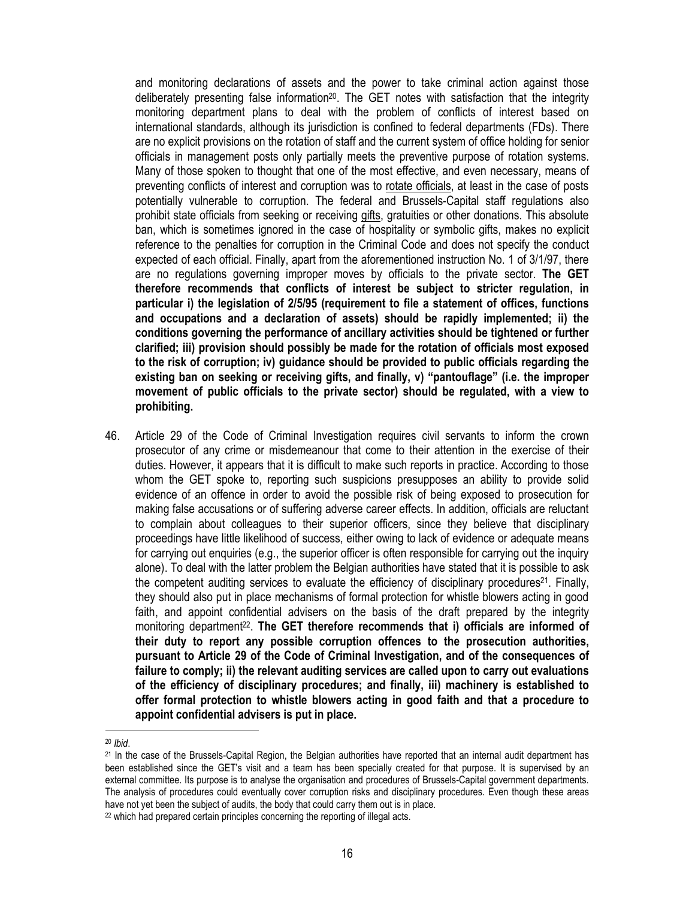and monitoring declarations of assets and the power to take criminal action against those deliberately presenting false information<sup>20</sup>. The GET notes with satisfaction that the integrity monitoring department plans to deal with the problem of conflicts of interest based on international standards, although its jurisdiction is confined to federal departments (FDs). There are no explicit provisions on the rotation of staff and the current system of office holding for senior officials in management posts only partially meets the preventive purpose of rotation systems. Many of those spoken to thought that one of the most effective, and even necessary, means of preventing conflicts of interest and corruption was to rotate officials, at least in the case of posts potentially vulnerable to corruption. The federal and Brussels-Capital staff regulations also prohibit state officials from seeking or receiving gifts, gratuities or other donations. This absolute ban, which is sometimes ignored in the case of hospitality or symbolic gifts, makes no explicit reference to the penalties for corruption in the Criminal Code and does not specify the conduct expected of each official. Finally, apart from the aforementioned instruction No. 1 of 3/1/97, there are no regulations governing improper moves by officials to the private sector. **The GET therefore recommends that conflicts of interest be subject to stricter regulation, in particular i) the legislation of 2/5/95 (requirement to file a statement of offices, functions and occupations and a declaration of assets) should be rapidly implemented; ii) the conditions governing the performance of ancillary activities should be tightened or further clarified; iii) provision should possibly be made for the rotation of officials most exposed to the risk of corruption; iv) guidance should be provided to public officials regarding the existing ban on seeking or receiving gifts, and finally, v) "pantouflage" (i.e. the improper movement of public officials to the private sector) should be regulated, with a view to prohibiting.**

46. Article 29 of the Code of Criminal Investigation requires civil servants to inform the crown prosecutor of any crime or misdemeanour that come to their attention in the exercise of their duties. However, it appears that it is difficult to make such reports in practice. According to those whom the GET spoke to, reporting such suspicions presupposes an ability to provide solid evidence of an offence in order to avoid the possible risk of being exposed to prosecution for making false accusations or of suffering adverse career effects. In addition, officials are reluctant to complain about colleagues to their superior officers, since they believe that disciplinary proceedings have little likelihood of success, either owing to lack of evidence or adequate means for carrying out enquiries (e.g., the superior officer is often responsible for carrying out the inquiry alone). To deal with the latter problem the Belgian authorities have stated that it is possible to ask the competent auditing services to evaluate the efficiency of disciplinary procedures<sup>21</sup>. Finally, they should also put in place mechanisms of formal protection for whistle blowers acting in good faith, and appoint confidential advisers on the basis of the draft prepared by the integrity monitoring department<sup>22</sup>. The GET therefore recommends that i) officials are informed of **their duty to report any possible corruption offences to the prosecution authorities, pursuant to Article 29 of the Code of Criminal Investigation, and of the consequences of failure to comply; ii) the relevant auditing services are called upon to carry out evaluations of the efficiency of disciplinary procedures; and finally, iii) machinery is established to offer formal protection to whistle blowers acting in good faith and that a procedure to appoint confidential advisers is put in place.**

<sup>20</sup> *Ibid*.

<sup>21</sup> In the case of the Brussels-Capital Region, the Belgian authorities have reported that an internal audit department has been established since the GET's visit and a team has been specially created for that purpose. It is supervised by an external committee. Its purpose is to analyse the organisation and procedures of Brussels-Capital government departments. The analysis of procedures could eventually cover corruption risks and disciplinary procedures. Even though these areas have not yet been the subject of audits, the body that could carry them out is in place.

<sup>22</sup> which had prepared certain principles concerning the reporting of illegal acts.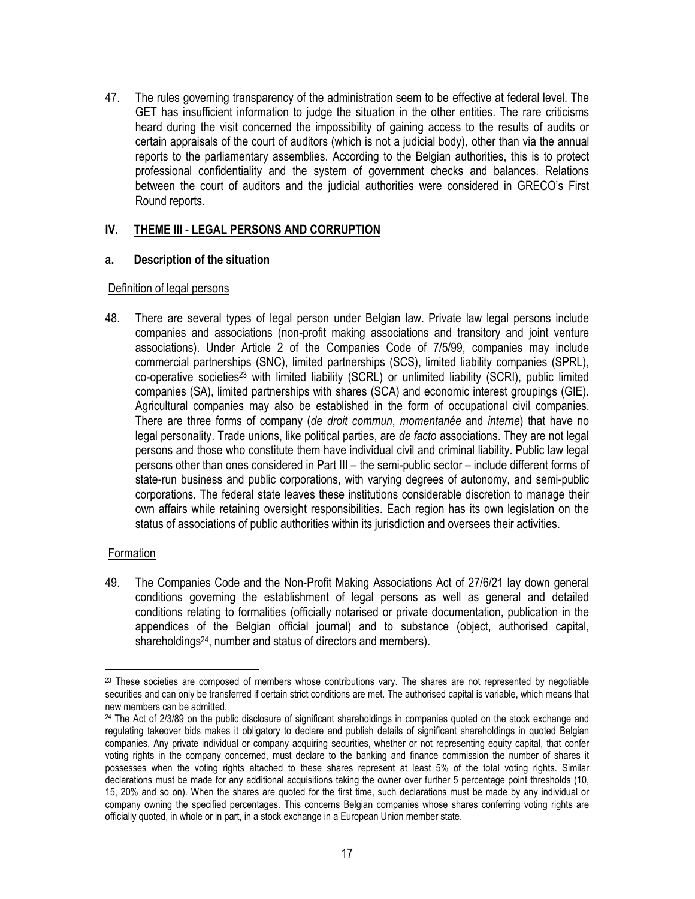47. The rules governing transparency of the administration seem to be effective at federal level. The GET has insufficient information to judge the situation in the other entities. The rare criticisms heard during the visit concerned the impossibility of gaining access to the results of audits or certain appraisals of the court of auditors (which is not a judicial body), other than via the annual reports to the parliamentary assemblies. According to the Belgian authorities, this is to protect professional confidentiality and the system of government checks and balances. Relations between the court of auditors and the judicial authorities were considered in GRECO's First Round reports.

# **IV. THEME III - LEGAL PERSONS AND CORRUPTION**

# **a. Description of the situation**

#### Definition of legal persons

48. There are several types of legal person under Belgian law. Private law legal persons include companies and associations (non-profit making associations and transitory and joint venture associations). Under Article 2 of the Companies Code of 7/5/99, companies may include commercial partnerships (SNC), limited partnerships (SCS), limited liability companies (SPRL), co-operative societies<sup>23</sup> with limited liability (SCRL) or unlimited liability (SCRI), public limited companies (SA), limited partnerships with shares (SCA) and economic interest groupings (GIE). Agricultural companies may also be established in the form of occupational civil companies. There are three forms of company (*de droit commun*, *momentanée* and *interne*) that have no legal personality. Trade unions, like political parties, are *de facto* associations. They are not legal persons and those who constitute them have individual civil and criminal liability. Public law legal persons other than ones considered in Part III – the semi-public sector – include different forms of state-run business and public corporations, with varying degrees of autonomy, and semi-public corporations. The federal state leaves these institutions considerable discretion to manage their own affairs while retaining oversight responsibilities. Each region has its own legislation on the status of associations of public authorities within its jurisdiction and oversees their activities.

# Formation

 $\overline{\phantom{a}}$ 

49. The Companies Code and the Non-Profit Making Associations Act of 27/6/21 lay down general conditions governing the establishment of legal persons as well as general and detailed conditions relating to formalities (officially notarised or private documentation, publication in the appendices of the Belgian official journal) and to substance (object, authorised capital, shareholdings24, number and status of directors and members).

<sup>&</sup>lt;sup>23</sup> These societies are composed of members whose contributions vary. The shares are not represented by negotiable securities and can only be transferred if certain strict conditions are met. The authorised capital is variable, which means that new members can be admitted.

<sup>&</sup>lt;sup>24</sup> The Act of 2/3/89 on the public disclosure of significant shareholdings in companies quoted on the stock exchange and regulating takeover bids makes it obligatory to declare and publish details of significant shareholdings in quoted Belgian companies. Any private individual or company acquiring securities, whether or not representing equity capital, that confer voting rights in the company concerned, must declare to the banking and finance commission the number of shares it possesses when the voting rights attached to these shares represent at least 5% of the total voting rights. Similar declarations must be made for any additional acquisitions taking the owner over further 5 percentage point thresholds (10, 15, 20% and so on). When the shares are quoted for the first time, such declarations must be made by any individual or company owning the specified percentages. This concerns Belgian companies whose shares conferring voting rights are officially quoted, in whole or in part, in a stock exchange in a European Union member state.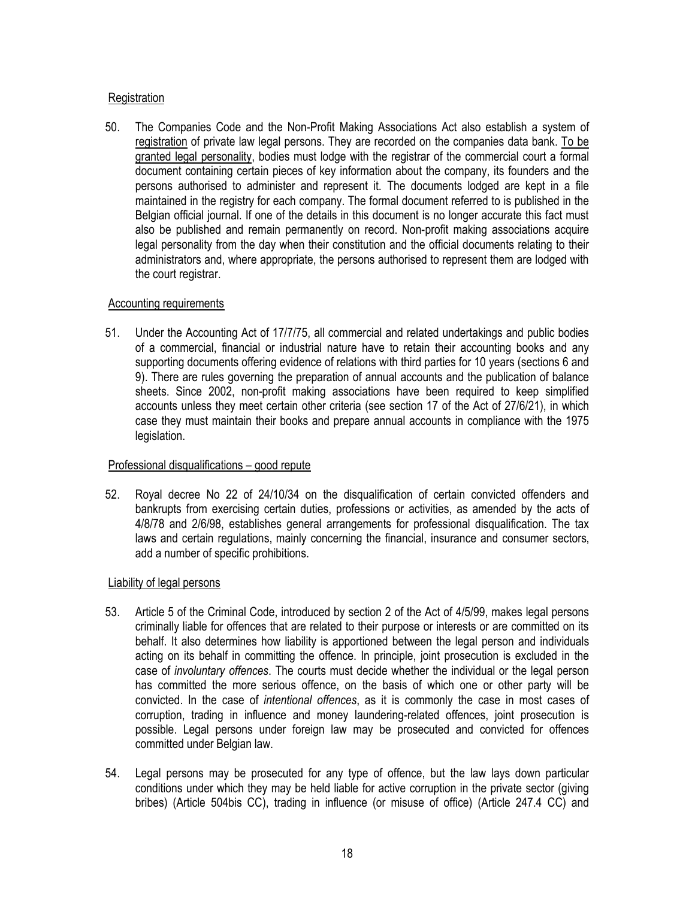# **Registration**

50. The Companies Code and the Non-Profit Making Associations Act also establish a system of registration of private law legal persons. They are recorded on the companies data bank. To be granted legal personality, bodies must lodge with the registrar of the commercial court a formal document containing certain pieces of key information about the company, its founders and the persons authorised to administer and represent it. The documents lodged are kept in a file maintained in the registry for each company. The formal document referred to is published in the Belgian official journal. If one of the details in this document is no longer accurate this fact must also be published and remain permanently on record. Non-profit making associations acquire legal personality from the day when their constitution and the official documents relating to their administrators and, where appropriate, the persons authorised to represent them are lodged with the court registrar.

# Accounting requirements

51. Under the Accounting Act of 17/7/75, all commercial and related undertakings and public bodies of a commercial, financial or industrial nature have to retain their accounting books and any supporting documents offering evidence of relations with third parties for 10 years (sections 6 and 9). There are rules governing the preparation of annual accounts and the publication of balance sheets. Since 2002, non-profit making associations have been required to keep simplified accounts unless they meet certain other criteria (see section 17 of the Act of 27/6/21), in which case they must maintain their books and prepare annual accounts in compliance with the 1975 legislation.

# Professional disqualifications – good repute

52. Royal decree No 22 of 24/10/34 on the disqualification of certain convicted offenders and bankrupts from exercising certain duties, professions or activities, as amended by the acts of 4/8/78 and 2/6/98, establishes general arrangements for professional disqualification. The tax laws and certain regulations, mainly concerning the financial, insurance and consumer sectors, add a number of specific prohibitions.

# Liability of legal persons

- 53. Article 5 of the Criminal Code, introduced by section 2 of the Act of 4/5/99, makes legal persons criminally liable for offences that are related to their purpose or interests or are committed on its behalf. It also determines how liability is apportioned between the legal person and individuals acting on its behalf in committing the offence. In principle, joint prosecution is excluded in the case of *involuntary offences*. The courts must decide whether the individual or the legal person has committed the more serious offence, on the basis of which one or other party will be convicted. In the case of *intentional offences*, as it is commonly the case in most cases of corruption, trading in influence and money laundering-related offences, joint prosecution is possible. Legal persons under foreign law may be prosecuted and convicted for offences committed under Belgian law.
- 54. Legal persons may be prosecuted for any type of offence, but the law lays down particular conditions under which they may be held liable for active corruption in the private sector (giving bribes) (Article 504bis CC), trading in influence (or misuse of office) (Article 247.4 CC) and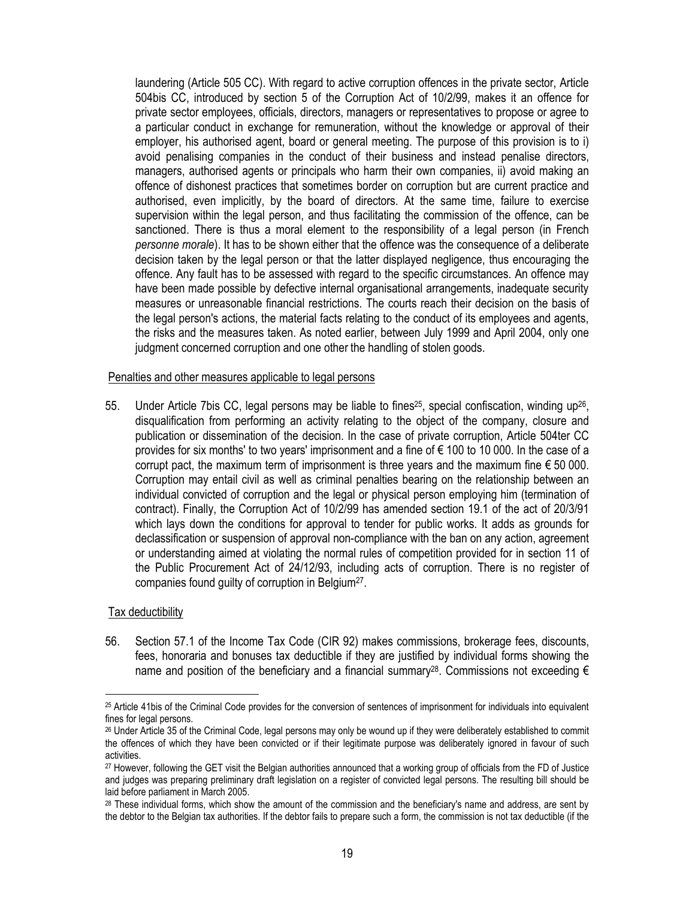laundering (Article 505 CC). With regard to active corruption offences in the private sector, Article 504bis CC, introduced by section 5 of the Corruption Act of 10/2/99, makes it an offence for private sector employees, officials, directors, managers or representatives to propose or agree to a particular conduct in exchange for remuneration, without the knowledge or approval of their employer, his authorised agent, board or general meeting. The purpose of this provision is to i) avoid penalising companies in the conduct of their business and instead penalise directors, managers, authorised agents or principals who harm their own companies, ii) avoid making an offence of dishonest practices that sometimes border on corruption but are current practice and authorised, even implicitly, by the board of directors. At the same time, failure to exercise supervision within the legal person, and thus facilitating the commission of the offence, can be sanctioned. There is thus a moral element to the responsibility of a legal person (in French *personne morale*). It has to be shown either that the offence was the consequence of a deliberate decision taken by the legal person or that the latter displayed negligence, thus encouraging the offence. Any fault has to be assessed with regard to the specific circumstances. An offence may have been made possible by defective internal organisational arrangements, inadequate security measures or unreasonable financial restrictions. The courts reach their decision on the basis of the legal person's actions, the material facts relating to the conduct of its employees and agents, the risks and the measures taken. As noted earlier, between July 1999 and April 2004, only one judgment concerned corruption and one other the handling of stolen goods.

#### Penalties and other measures applicable to legal persons

55. Under Article 7bis CC, legal persons may be liable to fines<sup>25</sup>, special confiscation, winding up<sup>26</sup>, disqualification from performing an activity relating to the object of the company, closure and publication or dissemination of the decision. In the case of private corruption, Article 504ter CC provides for six months' to two years' imprisonment and a fine of € 100 to 10 000. In the case of a corrupt pact, the maximum term of imprisonment is three years and the maximum fine  $\epsilon$  50 000. Corruption may entail civil as well as criminal penalties bearing on the relationship between an individual convicted of corruption and the legal or physical person employing him (termination of contract). Finally, the Corruption Act of 10/2/99 has amended section 19.1 of the act of 20/3/91 which lays down the conditions for approval to tender for public works. It adds as grounds for declassification or suspension of approval non-compliance with the ban on any action, agreement or understanding aimed at violating the normal rules of competition provided for in section 11 of the Public Procurement Act of 24/12/93, including acts of corruption. There is no register of companies found guilty of corruption in Belgium<sup>27</sup>.

#### Tax deductibility

 $\overline{\phantom{a}}$ 

56. Section 57.1 of the Income Tax Code (CIR 92) makes commissions, brokerage fees, discounts, fees, honoraria and bonuses tax deductible if they are justified by individual forms showing the name and position of the beneficiary and a financial summary<sup>28</sup>. Commissions not exceeding  $\epsilon$ 

<sup>25</sup> Article 41bis of the Criminal Code provides for the conversion of sentences of imprisonment for individuals into equivalent fines for legal persons.

<sup>26</sup> Under Article 35 of the Criminal Code, legal persons may only be wound up if they were deliberately established to commit the offences of which they have been convicted or if their legitimate purpose was deliberately ignored in favour of such activities.

<sup>27</sup> However, following the GET visit the Belgian authorities announced that a working group of officials from the FD of Justice and judges was preparing preliminary draft legislation on a register of convicted legal persons. The resulting bill should be laid before parliament in March 2005.

<sup>&</sup>lt;sup>28</sup> These individual forms, which show the amount of the commission and the beneficiary's name and address, are sent by the debtor to the Belgian tax authorities. If the debtor fails to prepare such a form, the commission is not tax deductible (if the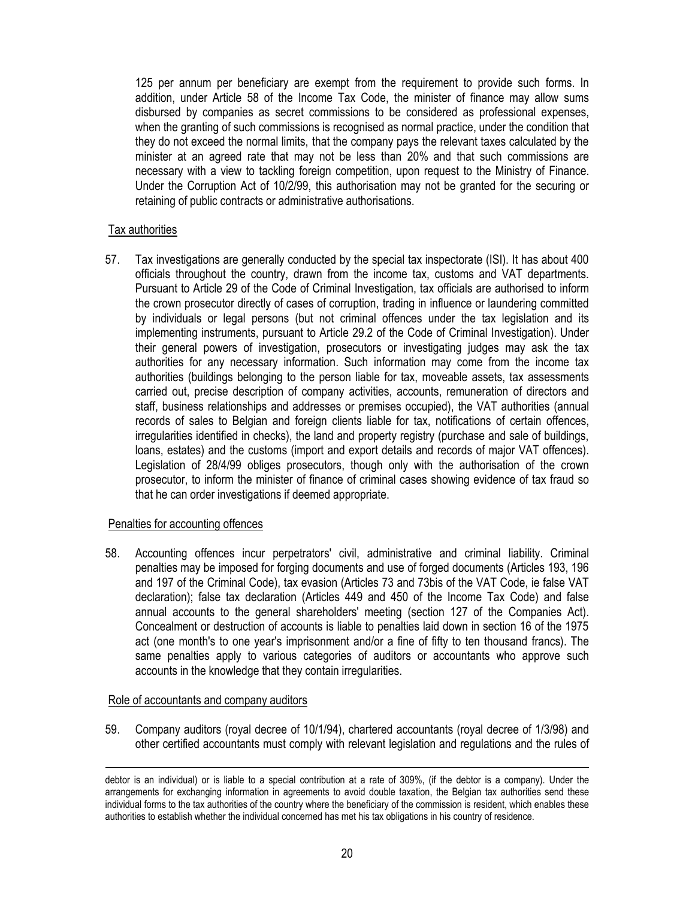125 per annum per beneficiary are exempt from the requirement to provide such forms. In addition, under Article 58 of the Income Tax Code, the minister of finance may allow sums disbursed by companies as secret commissions to be considered as professional expenses, when the granting of such commissions is recognised as normal practice, under the condition that they do not exceed the normal limits, that the company pays the relevant taxes calculated by the minister at an agreed rate that may not be less than 20% and that such commissions are necessary with a view to tackling foreign competition, upon request to the Ministry of Finance. Under the Corruption Act of 10/2/99, this authorisation may not be granted for the securing or retaining of public contracts or administrative authorisations.

#### Tax authorities

57. Tax investigations are generally conducted by the special tax inspectorate (ISI). It has about 400 officials throughout the country, drawn from the income tax, customs and VAT departments. Pursuant to Article 29 of the Code of Criminal Investigation, tax officials are authorised to inform the crown prosecutor directly of cases of corruption, trading in influence or laundering committed by individuals or legal persons (but not criminal offences under the tax legislation and its implementing instruments, pursuant to Article 29.2 of the Code of Criminal Investigation). Under their general powers of investigation, prosecutors or investigating judges may ask the tax authorities for any necessary information. Such information may come from the income tax authorities (buildings belonging to the person liable for tax, moveable assets, tax assessments carried out, precise description of company activities, accounts, remuneration of directors and staff, business relationships and addresses or premises occupied), the VAT authorities (annual records of sales to Belgian and foreign clients liable for tax, notifications of certain offences, irregularities identified in checks), the land and property registry (purchase and sale of buildings, loans, estates) and the customs (import and export details and records of major VAT offences). Legislation of 28/4/99 obliges prosecutors, though only with the authorisation of the crown prosecutor, to inform the minister of finance of criminal cases showing evidence of tax fraud so that he can order investigations if deemed appropriate.

# Penalties for accounting offences

58. Accounting offences incur perpetrators' civil, administrative and criminal liability. Criminal penalties may be imposed for forging documents and use of forged documents (Articles 193, 196 and 197 of the Criminal Code), tax evasion (Articles 73 and 73bis of the VAT Code, ie false VAT declaration); false tax declaration (Articles 449 and 450 of the Income Tax Code) and false annual accounts to the general shareholders' meeting (section 127 of the Companies Act). Concealment or destruction of accounts is liable to penalties laid down in section 16 of the 1975 act (one month's to one year's imprisonment and/or a fine of fifty to ten thousand francs). The same penalties apply to various categories of auditors or accountants who approve such accounts in the knowledge that they contain irregularities.

#### Role of accountants and company auditors

 $\overline{\phantom{a}}$ 

59. Company auditors (royal decree of 10/1/94), chartered accountants (royal decree of 1/3/98) and other certified accountants must comply with relevant legislation and regulations and the rules of

debtor is an individual) or is liable to a special contribution at a rate of 309%, (if the debtor is a company). Under the arrangements for exchanging information in agreements to avoid double taxation, the Belgian tax authorities send these individual forms to the tax authorities of the country where the beneficiary of the commission is resident, which enables these authorities to establish whether the individual concerned has met his tax obligations in his country of residence.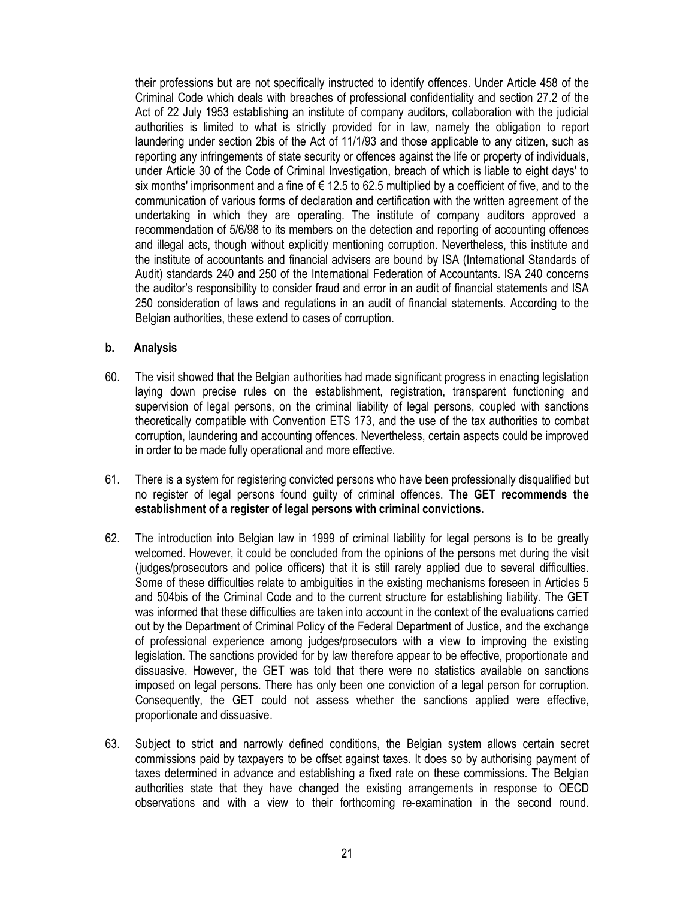their professions but are not specifically instructed to identify offences. Under Article 458 of the Criminal Code which deals with breaches of professional confidentiality and section 27.2 of the Act of 22 July 1953 establishing an institute of company auditors, collaboration with the judicial authorities is limited to what is strictly provided for in law, namely the obligation to report laundering under section 2bis of the Act of 11/1/93 and those applicable to any citizen, such as reporting any infringements of state security or offences against the life or property of individuals, under Article 30 of the Code of Criminal Investigation, breach of which is liable to eight days' to six months' imprisonment and a fine of  $\epsilon$  12.5 to 62.5 multiplied by a coefficient of five, and to the communication of various forms of declaration and certification with the written agreement of the undertaking in which they are operating. The institute of company auditors approved a recommendation of 5/6/98 to its members on the detection and reporting of accounting offences and illegal acts, though without explicitly mentioning corruption. Nevertheless, this institute and the institute of accountants and financial advisers are bound by ISA (International Standards of Audit) standards 240 and 250 of the International Federation of Accountants. ISA 240 concerns the auditor's responsibility to consider fraud and error in an audit of financial statements and ISA 250 consideration of laws and regulations in an audit of financial statements. According to the Belgian authorities, these extend to cases of corruption.

#### **b. Analysis**

- 60. The visit showed that the Belgian authorities had made significant progress in enacting legislation laying down precise rules on the establishment, registration, transparent functioning and supervision of legal persons, on the criminal liability of legal persons, coupled with sanctions theoretically compatible with Convention ETS 173, and the use of the tax authorities to combat corruption, laundering and accounting offences. Nevertheless, certain aspects could be improved in order to be made fully operational and more effective.
- 61. There is a system for registering convicted persons who have been professionally disqualified but no register of legal persons found guilty of criminal offences. **The GET recommends the establishment of a register of legal persons with criminal convictions.**
- 62. The introduction into Belgian law in 1999 of criminal liability for legal persons is to be greatly welcomed. However, it could be concluded from the opinions of the persons met during the visit (judges/prosecutors and police officers) that it is still rarely applied due to several difficulties. Some of these difficulties relate to ambiguities in the existing mechanisms foreseen in Articles 5 and 504bis of the Criminal Code and to the current structure for establishing liability. The GET was informed that these difficulties are taken into account in the context of the evaluations carried out by the Department of Criminal Policy of the Federal Department of Justice, and the exchange of professional experience among judges/prosecutors with a view to improving the existing legislation. The sanctions provided for by law therefore appear to be effective, proportionate and dissuasive. However, the GET was told that there were no statistics available on sanctions imposed on legal persons. There has only been one conviction of a legal person for corruption. Consequently, the GET could not assess whether the sanctions applied were effective, proportionate and dissuasive.
- 63. Subject to strict and narrowly defined conditions, the Belgian system allows certain secret commissions paid by taxpayers to be offset against taxes. It does so by authorising payment of taxes determined in advance and establishing a fixed rate on these commissions. The Belgian authorities state that they have changed the existing arrangements in response to OECD observations and with a view to their forthcoming re-examination in the second round.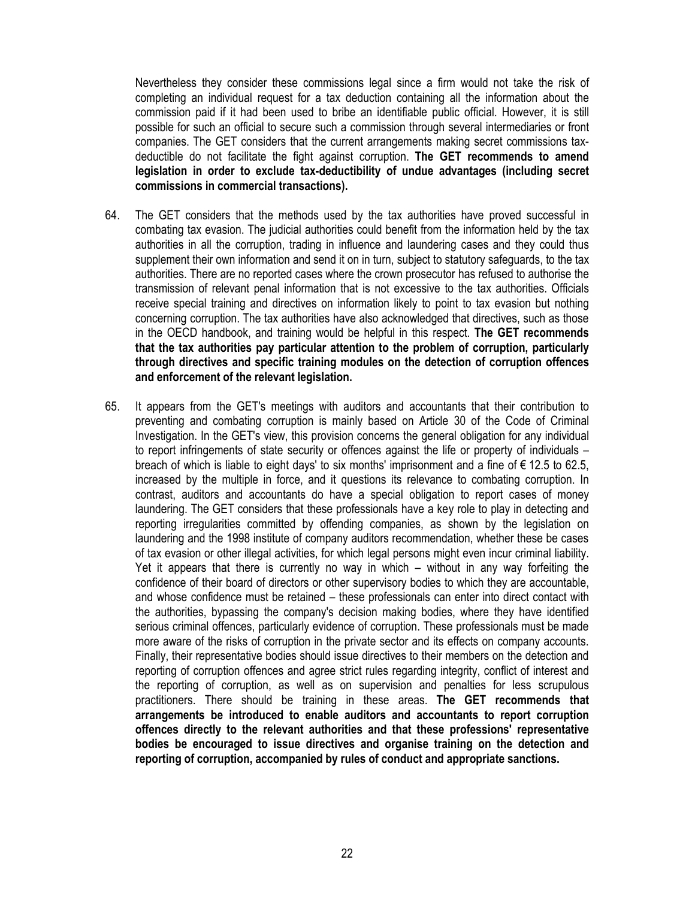Nevertheless they consider these commissions legal since a firm would not take the risk of completing an individual request for a tax deduction containing all the information about the commission paid if it had been used to bribe an identifiable public official. However, it is still possible for such an official to secure such a commission through several intermediaries or front companies. The GET considers that the current arrangements making secret commissions taxdeductible do not facilitate the fight against corruption. **The GET recommends to amend legislation in order to exclude tax-deductibility of undue advantages (including secret commissions in commercial transactions).**

- 64. The GET considers that the methods used by the tax authorities have proved successful in combating tax evasion. The judicial authorities could benefit from the information held by the tax authorities in all the corruption, trading in influence and laundering cases and they could thus supplement their own information and send it on in turn, subject to statutory safeguards, to the tax authorities. There are no reported cases where the crown prosecutor has refused to authorise the transmission of relevant penal information that is not excessive to the tax authorities. Officials receive special training and directives on information likely to point to tax evasion but nothing concerning corruption. The tax authorities have also acknowledged that directives, such as those in the OECD handbook, and training would be helpful in this respect. **The GET recommends that the tax authorities pay particular attention to the problem of corruption, particularly through directives and specific training modules on the detection of corruption offences and enforcement of the relevant legislation.**
- 65. It appears from the GET's meetings with auditors and accountants that their contribution to preventing and combating corruption is mainly based on Article 30 of the Code of Criminal Investigation. In the GET's view, this provision concerns the general obligation for any individual to report infringements of state security or offences against the life or property of individuals – breach of which is liable to eight days' to six months' imprisonment and a fine of  $\epsilon$  12.5 to 62.5, increased by the multiple in force, and it questions its relevance to combating corruption. In contrast, auditors and accountants do have a special obligation to report cases of money laundering. The GET considers that these professionals have a key role to play in detecting and reporting irregularities committed by offending companies, as shown by the legislation on laundering and the 1998 institute of company auditors recommendation, whether these be cases of tax evasion or other illegal activities, for which legal persons might even incur criminal liability. Yet it appears that there is currently no way in which – without in any way forfeiting the confidence of their board of directors or other supervisory bodies to which they are accountable, and whose confidence must be retained – these professionals can enter into direct contact with the authorities, bypassing the company's decision making bodies, where they have identified serious criminal offences, particularly evidence of corruption. These professionals must be made more aware of the risks of corruption in the private sector and its effects on company accounts. Finally, their representative bodies should issue directives to their members on the detection and reporting of corruption offences and agree strict rules regarding integrity, conflict of interest and the reporting of corruption, as well as on supervision and penalties for less scrupulous practitioners. There should be training in these areas. **The GET recommends that arrangements be introduced to enable auditors and accountants to report corruption offences directly to the relevant authorities and that these professions' representative bodies be encouraged to issue directives and organise training on the detection and reporting of corruption, accompanied by rules of conduct and appropriate sanctions.**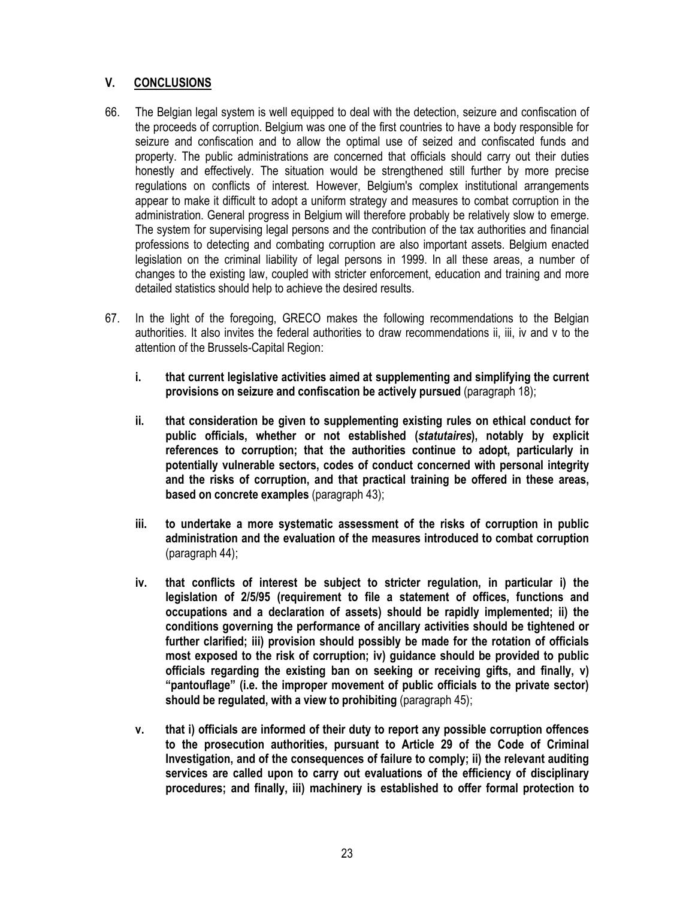# **V. CONCLUSIONS**

- 66. The Belgian legal system is well equipped to deal with the detection, seizure and confiscation of the proceeds of corruption. Belgium was one of the first countries to have a body responsible for seizure and confiscation and to allow the optimal use of seized and confiscated funds and property. The public administrations are concerned that officials should carry out their duties honestly and effectively. The situation would be strengthened still further by more precise regulations on conflicts of interest. However, Belgium's complex institutional arrangements appear to make it difficult to adopt a uniform strategy and measures to combat corruption in the administration. General progress in Belgium will therefore probably be relatively slow to emerge. The system for supervising legal persons and the contribution of the tax authorities and financial professions to detecting and combating corruption are also important assets. Belgium enacted legislation on the criminal liability of legal persons in 1999. In all these areas, a number of changes to the existing law, coupled with stricter enforcement, education and training and more detailed statistics should help to achieve the desired results.
- 67. In the light of the foregoing, GRECO makes the following recommendations to the Belgian authorities. It also invites the federal authorities to draw recommendations ii, iii, iv and v to the attention of the Brussels-Capital Region:
	- **i. that current legislative activities aimed at supplementing and simplifying the current provisions on seizure and confiscation be actively pursued** (paragraph 18);
	- **ii. that consideration be given to supplementing existing rules on ethical conduct for public officials, whether or not established (***statutaires***), notably by explicit references to corruption; that the authorities continue to adopt, particularly in potentially vulnerable sectors, codes of conduct concerned with personal integrity and the risks of corruption, and that practical training be offered in these areas, based on concrete examples** (paragraph 43);
	- **iii. to undertake a more systematic assessment of the risks of corruption in public administration and the evaluation of the measures introduced to combat corruption** (paragraph 44);
	- **iv. that conflicts of interest be subject to stricter regulation, in particular i) the legislation of 2/5/95 (requirement to file a statement of offices, functions and occupations and a declaration of assets) should be rapidly implemented; ii) the conditions governing the performance of ancillary activities should be tightened or further clarified; iii) provision should possibly be made for the rotation of officials most exposed to the risk of corruption; iv) guidance should be provided to public officials regarding the existing ban on seeking or receiving gifts, and finally, v) "pantouflage" (i.e. the improper movement of public officials to the private sector) should be regulated, with a view to prohibiting** (paragraph 45);
	- **v. that i) officials are informed of their duty to report any possible corruption offences to the prosecution authorities, pursuant to Article 29 of the Code of Criminal Investigation, and of the consequences of failure to comply; ii) the relevant auditing services are called upon to carry out evaluations of the efficiency of disciplinary procedures; and finally, iii) machinery is established to offer formal protection to**